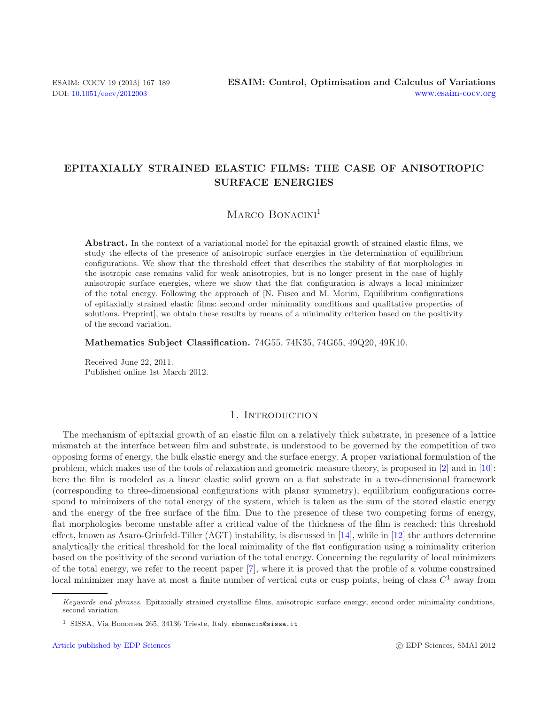## **EPITAXIALLY STRAINED ELASTIC FILMS: THE CASE OF ANISOTROPIC SURFACE ENERGIES**

# MARCO BONACINI<sup>1</sup>

**Abstract.** In the context of a variational model for the epitaxial growth of strained elastic films, we study the effects of the presence of anisotropic surface energies in the determination of equilibrium configurations. We show that the threshold effect that describes the stability of flat morphologies in the isotropic case remains valid for weak anisotropies, but is no longer present in the case of highly anisotropic surface energies, where we show that the flat configuration is always a local minimizer of the total energy. Following the approach of [N. Fusco and M. Morini, Equilibrium configurations of epitaxially strained elastic films: second order minimality conditions and qualitative properties of solutions. Preprint], we obtain these results by means of a minimality criterion based on the positivity of the second variation.

**Mathematics Subject Classification.** 74G55, 74K35, 74G65, 49Q20, 49K10.

Received June 22, 2011. Published online 1st March 2012.

### 1. INTRODUCTION

The mechanism of epitaxial growth of an elastic film on a relatively thick substrate, in presence of a lattice mismatch at the interface between film and substrate, is understood to be governed by the competition of two opposing forms of energy, the bulk elastic energy and the surface energy. A proper variational formulation of the problem, which makes use of the tools of relaxation and geometric measure theory, is proposed in [\[2\]](#page-22-0) and in [\[10](#page-22-1)]: here the film is modeled as a linear elastic solid grown on a flat substrate in a two-dimensional framework (corresponding to three-dimensional configurations with planar symmetry); equilibrium configurations correspond to minimizers of the total energy of the system, which is taken as the sum of the stored elastic energy and the energy of the free surface of the film. Due to the presence of these two competing forms of energy, flat morphologies become unstable after a critical value of the thickness of the film is reached: this threshold effect, known as Asaro-Grinfeld-Tiller (AGT) instability, is discussed in [\[14\]](#page-22-2), while in [\[12\]](#page-22-3) the authors determine analytically the critical threshold for the local minimality of the flat configuration using a minimality criterion based on the positivity of the second variation of the total energy. Concerning the regularity of local minimizers of the total energy, we refer to the recent paper [\[7](#page-22-4)], where it is proved that the profile of a volume constrained local minimizer may have at most a finite number of vertical cuts or cusp points, being of class  $C^1$  away from

Keywords and phrases. Epitaxially strained crystalline films, anisotropic surface energy, second order minimality conditions, second variation.

 $^1\,$  SISSA, Via Bonomea 265, 34136 Trieste, Italy. mbonacin@sissa.it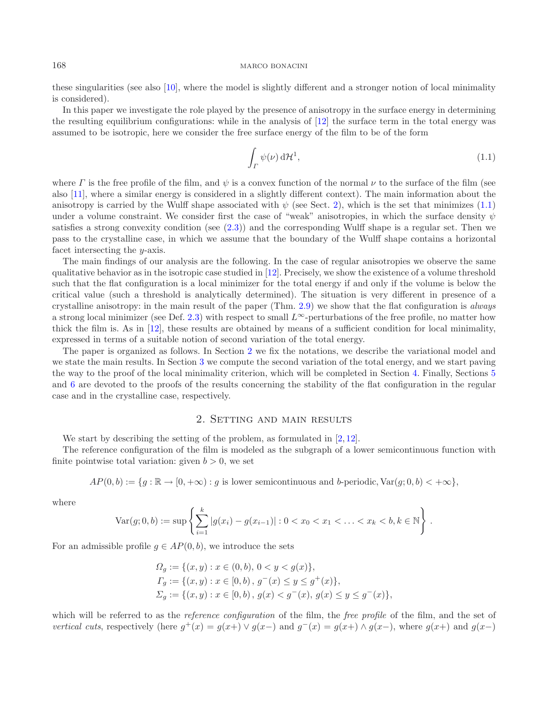these singularities (see also [\[10\]](#page-22-1), where the model is slightly different and a stronger notion of local minimality is considered).

In this paper we investigate the role played by the presence of anisotropy in the surface energy in determining the resulting equilibrium configurations: while in the analysis of [\[12\]](#page-22-3) the surface term in the total energy was assumed to be isotropic, here we consider the free surface energy of the film to be of the form

<span id="page-1-1"></span>
$$
\int_{\varGamma} \psi(\nu) \, d\mathcal{H}^1,\tag{1.1}
$$

where  $\Gamma$  is the free profile of the film, and  $\psi$  is a convex function of the normal  $\nu$  to the surface of the film (see also [\[11\]](#page-22-5), where a similar energy is considered in a slightly different context). The main information about the anisotropy is carried by the Wulff shape associated with  $\psi$  (see Sect. [2\)](#page-1-0), which is the set that minimizes [\(1.1\)](#page-1-1) under a volume constraint. We consider first the case of "weak" anisotropies, in which the surface density  $\psi$ satisfies a strong convexity condition (see [\(2.3\)](#page-4-0)) and the corresponding Wulff shape is a regular set. Then we pass to the crystalline case, in which we assume that the boundary of the Wulff shape contains a horizontal facet intersecting the y-axis.

The main findings of our analysis are the following. In the case of regular anisotropies we observe the same qualitative behavior as in the isotropic case studied in [\[12\]](#page-22-3). Precisely, we show the existence of a volume threshold such that the flat configuration is a local minimizer for the total energy if and only if the volume is below the critical value (such a threshold is analytically determined). The situation is very different in presence of a crystalline anisotropy: in the main result of the paper (Thm. [2.9\)](#page-6-0) we show that the flat configuration is *always* a strong local minimizer (see Def. [2.3\)](#page-3-0) with respect to small  $L^{\infty}$ -perturbations of the free profile, no matter how thick the film is. As in [\[12\]](#page-22-3), these results are obtained by means of a sufficient condition for local minimality, expressed in terms of a suitable notion of second variation of the total energy.

The paper is organized as follows. In Section [2](#page-1-0) we fix the notations, we describe the variational model and we state the main results. In Section [3](#page-6-1) we compute the second variation of the total energy, and we start paving the way to the proof of the local minimality criterion, which will be completed in Section [4.](#page-12-0) Finally, Sections [5](#page-19-0) and [6](#page-20-0) are devoted to the proofs of the results concerning the stability of the flat configuration in the regular case and in the crystalline case, respectively.

### 2. Setting and main results

We start by describing the setting of the problem, as formulated in  $[2, 12]$  $[2, 12]$  $[2, 12]$ .

<span id="page-1-0"></span>The reference configuration of the film is modeled as the subgraph of a lower semicontinuous function with finite pointwise total variation: given  $b > 0$ , we set

$$
AP(0, b) := \{ g : \mathbb{R} \to [0, +\infty) : g \text{ is lower semicontinuous and } b\text{-periodic, } \text{Var}(g; 0, b) < +\infty \},
$$

where

$$
\text{Var}(g; 0, b) := \sup \left\{ \sum_{i=1}^{k} |g(x_i) - g(x_{i-1})| : 0 < x_0 < x_1 < \ldots < x_k < b, k \in \mathbb{N} \right\} \, .
$$

For an admissible profile  $g \in AP(0, b)$ , we introduce the sets

$$
\Omega_g := \{ (x, y) : x \in (0, b), 0 < y < g(x) \},\
$$
  
\n
$$
\Gamma_g := \{ (x, y) : x \in [0, b), g^-(x) \le y \le g^+(x) \},\
$$
  
\n
$$
\Sigma_g := \{ (x, y) : x \in [0, b), g(x) < g^-(x), g(x) \le y \le g^-(x) \},\
$$

which will be referred to as the *reference configuration* of the film, the *free profile* of the film, and the set of *vertical cuts*, respectively (here  $g^+(x) = g(x+) \vee g(x-)$  and  $g^-(x) = g(x+) \wedge g(x-)$ , where  $g(x+)$  and  $g(x-)$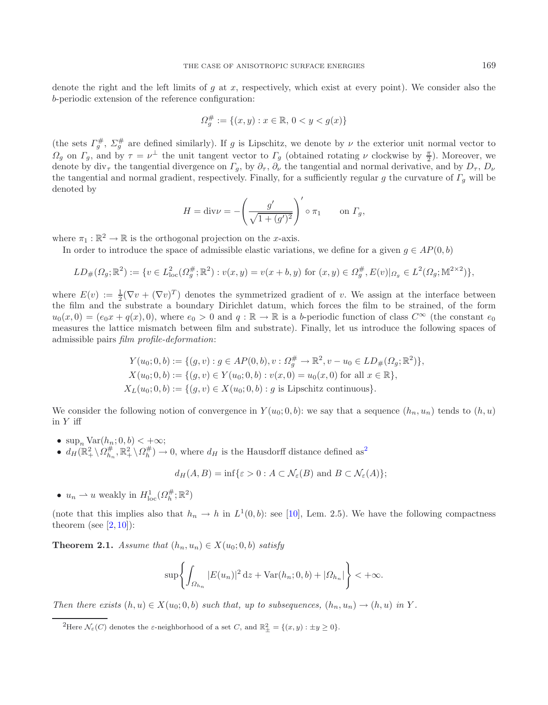denote the right and the left limits of  $g$  at  $x$ , respectively, which exist at every point). We consider also the b-periodic extension of the reference configuration:

$$
\varOmega_g^{\#} := \{(x, y) : x \in \mathbb{R}, \, 0 < y < g(x)\}
$$

(the sets  $\Gamma_g^{\#}, \Sigma_g^{\#}$  are defined similarly). If g is Lipschitz, we denote by  $\nu$  the exterior unit normal vector to  $\Omega_g$  on  $\Gamma_g$ , and by  $\tau = \nu^{\perp}$  the unit tangent vector to  $\Gamma_g$  (obtained rotating  $\nu$  clockwise by  $\frac{\pi}{2}$ ). Moreover, we denote by div the tangential divergence on  $\Gamma$ , by  $\partial$ ,  $\partial$ , the tangential and normal denote by div<sub>τ</sub> the tangential divergence on  $\Gamma_g$ , by  $\partial_{\tau}$ ,  $\partial_{\nu}$  the tangential and normal derivative, and by  $D_{\tau}$ ,  $D_{\nu}$ the tangential and normal gradient, respectively. Finally, for a sufficiently regular g the curvature of  $\Gamma_q$  will be denoted by

$$
H = \text{div}\nu = -\left(\frac{g'}{\sqrt{1 + (g')^2}}\right)' \circ \pi_1 \qquad \text{on } \Gamma_g,
$$

where  $\pi_1 : \mathbb{R}^2 \to \mathbb{R}$  is the orthogonal projection on the *x*-axis.

In order to introduce the space of admissible elastic variations, we define for a given  $g \in AP(0, b)$ 

$$
LD_{\#}(\Omega_g; \mathbb{R}^2) := \{ v \in L^2_{loc}(\Omega_g^{\#}; \mathbb{R}^2) : v(x, y) = v(x + b, y) \text{ for } (x, y) \in \Omega_g^{\#}, E(v) |_{\Omega_g} \in L^2(\Omega_g; \mathbb{M}^{2 \times 2}) \},
$$

where  $E(v) := \frac{1}{2} (\nabla v + (\nabla v)^T)$  denotes the symmetrized gradient of v. We assign at the interface between<br>the film and the substrate a boundary Dirichlet datum, which forces the film to be strained of the form the film and the substrate a boundary Dirichlet datum, which forces the film to be strained, of the form  $u_0(x, 0) = (e_0x + q(x), 0)$ , where  $e_0 > 0$  and  $q : \mathbb{R} \to \mathbb{R}$  is a b-periodic function of class  $C^{\infty}$  (the constant  $e_0$ measures the lattice mismatch between film and substrate). Finally, let us introduce the following spaces of admissible pairs *film profile-deformation*:

$$
Y(u_0; 0, b) := \{(g, v) : g \in AP(0, b), v : \Omega_g^{\#} \to \mathbb{R}^2, v - u_0 \in LD_{\#}(\Omega_g; \mathbb{R}^2)\},
$$
  
\n
$$
X(u_0; 0, b) := \{(g, v) \in Y(u_0; 0, b) : v(x, 0) = u_0(x, 0) \text{ for all } x \in \mathbb{R}\},
$$
  
\n
$$
X_L(u_0; 0, b) := \{(g, v) \in X(u_0; 0, b) : g \text{ is Lipschitz continuous}\}.
$$

<span id="page-2-1"></span>We consider the following notion of convergence in  $Y(u_0; 0, b)$ : we say that a sequence  $(h_n, u_n)$  tends to  $(h, u)$ in  $Y$  iff

- $\sup_n \text{Var}(h_n; 0, b) < +\infty;$
- $d_H(\mathbb{R}^2_+ \setminus \Omega_{h_n}^{\#}, \mathbb{R}^2_+ \setminus \Omega_h^{\#}) \to 0$  $d_H(\mathbb{R}^2_+ \setminus \Omega_{h_n}^{\#}, \mathbb{R}^2_+ \setminus \Omega_h^{\#}) \to 0$  $d_H(\mathbb{R}^2_+ \setminus \Omega_{h_n}^{\#}, \mathbb{R}^2_+ \setminus \Omega_h^{\#}) \to 0$ , where  $d_H$  is the Hausdorff distance defined as<sup>2</sup>

$$
d_H(A, B) = \inf \{ \varepsilon > 0 : A \subset \mathcal{N}_{\varepsilon}(B) \text{ and } B \subset \mathcal{N}_{\varepsilon}(A) \};
$$

•  $u_n \rightharpoonup u$  weakly in  $H_{\text{loc}}^1(\Omega_h^{\#}; \mathbb{R}^2)$ 

<span id="page-2-0"></span>(note that this implies also that  $h_n \to h$  in  $L^1(0, b)$ : see [\[10\]](#page-22-1), Lem. 2.5). We have the following compactness theorem (see  $[2, 10]$  $[2, 10]$  $[2, 10]$  $[2, 10]$ ):

**Theorem 2.1.** *Assume that*  $(h_n, u_n) \in X(u_0; 0, b)$  *satisfy* 

$$
\sup \left\{ \int_{\Omega_{h_n}} |E(u_n)|^2 \, \mathrm{d}z + \text{Var}(h_n; 0, b) + |\Omega_{h_n}| \right\} < +\infty.
$$

*Then there exists*  $(h, u) \in X(u_0; 0, b)$  *such that, up to subsequences,*  $(h_n, u_n) \to (h, u)$  *in* Y.

<sup>&</sup>lt;sup>2</sup>Here  $\mathcal{N}_{\varepsilon}(C)$  denotes the  $\varepsilon$ -neighborhood of a set C, and  $\mathbb{R}^2_{\pm} = \{(x, y) : \pm y \ge 0\}$ .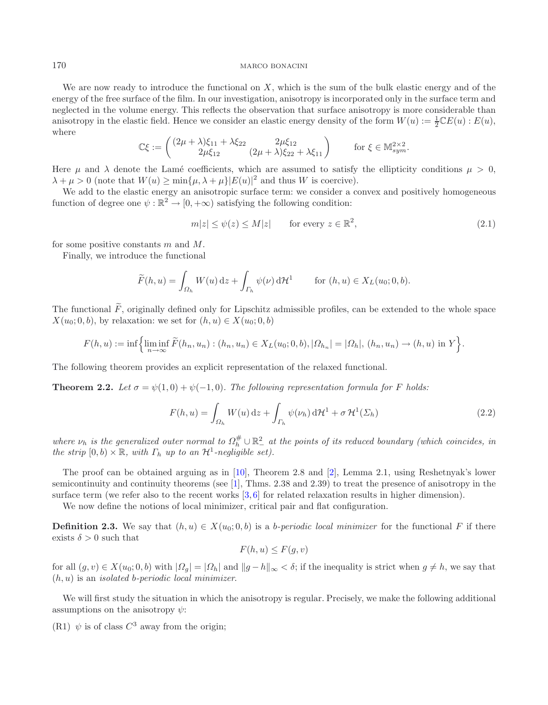We are now ready to introduce the functional on  $X$ , which is the sum of the bulk elastic energy and of the energy of the free surface of the film. In our investigation, anisotropy is incorporated only in the surface term and neglected in the volume energy. This reflects the observation that surface anisotropy is more considerable than anisotropy in the elastic field. Hence we consider an elastic energy density of the form  $W(u) := \frac{1}{2} \mathbb{C}E(u)$ :  $E(u)$ , where where

<span id="page-3-1"></span>
$$
\mathbb{C}\xi := \begin{pmatrix} (2\mu + \lambda)\xi_{11} + \lambda \xi_{22} & 2\mu \xi_{12} \\ 2\mu \xi_{12} & (2\mu + \lambda)\xi_{22} + \lambda \xi_{11} \end{pmatrix} \quad \text{for } \xi \in \mathbb{M}_{sym}^{2 \times 2}.
$$

Here  $\mu$  and  $\lambda$  denote the Lamé coefficients, which are assumed to satisfy the ellipticity conditions  $\mu > 0$ ,  $\lambda + \mu > 0$  (note that  $W(u) \ge \min\{\mu, \lambda + \mu\} |E(u)|^2$  and thus W is coercive).

We add to the elastic energy an anisotropic surface term: we consider a convex and positively homogeneous function of degree one  $\psi : \mathbb{R}^2 \to [0, +\infty)$  satisfying the following condition:

$$
m|z| \le \psi(z) \le M|z| \qquad \text{for every } z \in \mathbb{R}^2,\tag{2.1}
$$

for some positive constants  $m$  and  $M$ .

Finally, we introduce the functional

$$
\widetilde{F}(h, u) = \int_{\Omega_h} W(u) \, \mathrm{d}z + \int_{\Gamma_h} \psi(\nu) \, \mathrm{d} \mathcal{H}^1 \qquad \text{for } (h, u) \in X_L(u_0; 0, b).
$$

The functional  $\tilde{F}$ , originally defined only for Lipschitz admissible profiles, can be extended to the whole space  $X(u_0; 0, b)$ , by relaxation: we set for  $(h, u) \in X(u_0; 0, b)$ 

$$
F(h, u) := \inf \Big\{ \liminf_{n \to \infty} \tilde{F}(h_n, u_n) : (h_n, u_n) \in X_L(u_0; 0, b), |\Omega_{h_n}| = |\Omega_h|, (h_n, u_n) \to (h, u) \text{ in } Y \Big\}.
$$

The following theorem provides an explicit representation of the relaxed functional.

**Theorem 2.2.** Let  $\sigma = \psi(1,0) + \psi(-1,0)$ . The following representation formula for F holds:

$$
F(h, u) = \int_{\Omega_h} W(u) \, \mathrm{d}z + \int_{\Gamma_h} \psi(\nu_h) \, \mathrm{d} \mathcal{H}^1 + \sigma \, \mathcal{H}^1(\Sigma_h)
$$
\n(2.2)

where  $\nu_h$  is the generalized outer normal to  $\Omega_h^{\#} \cup \mathbb{R}^2_-$  at the points of its reduced boundary (which coincides, in *the strip*  $[0, b) \times \mathbb{R}$ *, with*  $\Gamma_h$  *up to an*  $\mathcal{H}^1$ *-negligible set).* 

The proof can be obtained arguing as in [\[10\]](#page-22-1), Theorem 2.8 and [\[2\]](#page-22-0), Lemma 2.1, using Reshetnyak's lower semicontinuity and continuity theorems (see [\[1](#page-22-6)], Thms. 2.38 and 2.39) to treat the presence of anisotropy in the surface term (we refer also to the recent works  $[3, 6]$  $[3, 6]$  $[3, 6]$  for related relaxation results in higher dimension).

We now define the notions of local minimizer, critical pair and flat configuration.

<span id="page-3-0"></span>**Definition 2.3.** We say that  $(h, u) \in X(u_0; 0, b)$  is a *b-periodic local minimizer* for the functional F if there exists  $\delta > 0$  such that

$$
F(h, u) \le F(g, v)
$$

for all  $(g, v) \in X(u_0; 0, b)$  with  $|\Omega_g| = |\Omega_h|$  and  $||g - h||_{\infty} < \delta$ ; if the inequality is strict when  $g \neq h$ , we say that (h, u) is an *isolated* b*-periodic local minimizer*.

We will first study the situation in which the anisotropy is regular. Precisely, we make the following additional assumptions on the anisotropy  $\psi$ :

(R1)  $\psi$  is of class  $C^3$  away from the origin;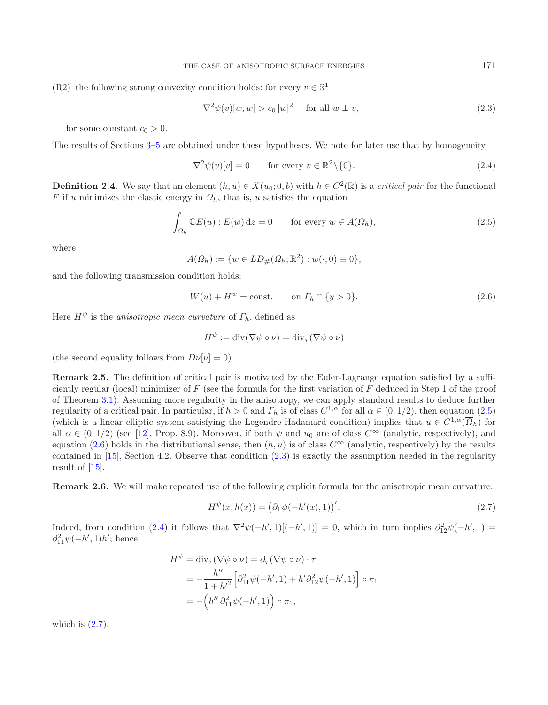(R2) the following strong convexity condition holds: for every  $v \in \mathbb{S}^1$ 

<span id="page-4-3"></span><span id="page-4-1"></span><span id="page-4-0"></span>
$$
\nabla^2 \psi(v)[w, w] > c_0 |w|^2 \quad \text{for all } w \perp v,
$$
\n(2.3)

for some constant  $c_0 > 0$ .

The results of Sections [3](#page-6-1)[–5](#page-19-0) are obtained under these hypotheses. We note for later use that by homogeneity

<span id="page-4-2"></span>
$$
\nabla^2 \psi(v)[v] = 0 \qquad \text{for every } v \in \mathbb{R}^2 \setminus \{0\}. \tag{2.4}
$$

**Definition 2.4.** We say that an element  $(h, u) \in X(u_0; 0, b)$  with  $h \in C^2(\mathbb{R})$  is a *critical pair* for the functional F if u minimizes the elastic energy in  $\Omega_h$ , that is, u satisfies the equation

$$
\int_{\Omega_h} \mathbb{C}E(u) : E(w) dz = 0 \quad \text{for every } w \in A(\Omega_h), \tag{2.5}
$$

where

$$
A(\Omega_h) := \{ w \in LD_{\#}(\Omega_h; \mathbb{R}^2) : w(\cdot, 0) \equiv 0 \},\
$$

and the following transmission condition holds:

$$
W(u) + H^{\psi} = \text{const.} \qquad \text{on } \varGamma_h \cap \{y > 0\}. \tag{2.6}
$$

Here  $H^{\psi}$  is the *anisotropic mean curvature* of  $\Gamma_h$ , defined as

<span id="page-4-4"></span>
$$
H^{\psi} := \mathrm{div}(\nabla \psi \circ \nu) = \mathrm{div}_{\tau}(\nabla \psi \circ \nu)
$$

(the second equality follows from  $D\nu[\nu] = 0$ ).

<span id="page-4-5"></span>**Remark 2.5.** The definition of critical pair is motivated by the Euler-Lagrange equation satisfied by a sufficiently regular (local) minimizer of  $F$  (see the formula for the first variation of  $F$  deduced in Step 1 of the proof of Theorem [3.1\)](#page-6-2). Assuming more regularity in the anisotropy, we can apply standard results to deduce further regularity of a critical pair. In particular, if  $h > 0$  and  $\Gamma_h$  is of class  $C^{1,\alpha}$  for all  $\alpha \in (0,1/2)$ , then equation  $(2.5)$ (which is a linear elliptic system satisfying the Legendre-Hadamard condition) implies that  $u \in C^{1,\alpha}(\overline{\Omega}_h)$  for all  $\alpha \in (0, 1/2)$  (see [\[12\]](#page-22-3), Prop. 8.9). Moreover, if both  $\psi$  and  $u_0$  are of class  $C^{\infty}$  (analytic, respectively), and equation [\(2.6\)](#page-4-2) holds in the distributional sense, then  $(h, u)$  is of class  $C^{\infty}$  (analytic, respectively) by the results contained in [\[15\]](#page-22-9), Section 4.2. Observe that condition [\(2.3\)](#page-4-0) is exactly the assumption needed in the regularity result of [\[15\]](#page-22-9).

**Remark 2.6.** We will make repeated use of the following explicit formula for the anisotropic mean curvature:

$$
H^{\psi}(x, h(x)) = (\partial_1 \psi(-h'(x), 1))'.
$$
 (2.7)

Indeed, from condition [\(2.4\)](#page-4-3) it follows that  $\nabla^2 \psi(-h',1)[(-h',1)] = 0$ , which in turn implies  $\partial_{12}^2 \psi(-h',1) =$ <br> $\partial_{12}^2 \psi(-h',1)h'$  being  $\partial_{11}^2 \psi(-h',1)h'$ ; hence

$$
H^{\psi} = \text{div}_{\tau}(\nabla \psi \circ \nu) = \partial_{\tau}(\nabla \psi \circ \nu) \cdot \tau
$$
  
=  $-\frac{h''}{1 + h'^2} \Big[ \partial_{11}^2 \psi(-h', 1) + h' \partial_{12}^2 \psi(-h', 1) \Big] \circ \pi_1$   
=  $-\Big( h'' \partial_{11}^2 \psi(-h', 1) \Big) \circ \pi_1$ ,

which is  $(2.7)$ .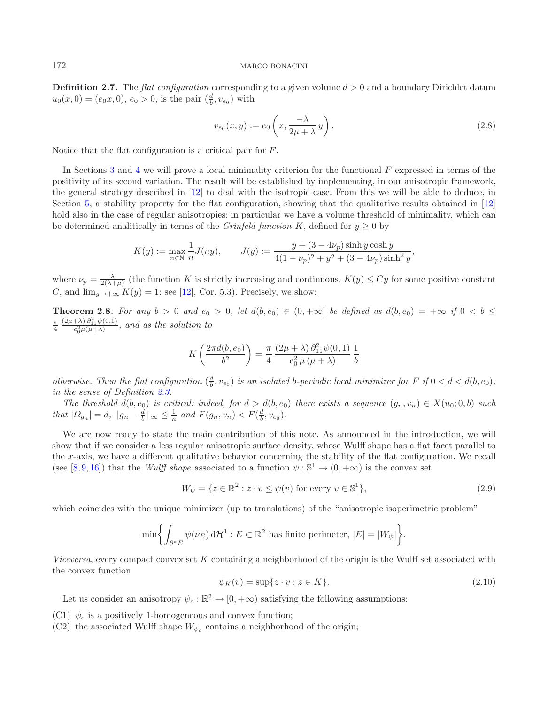**Definition 2.7.** The *flat configuration* corresponding to a given volume  $d > 0$  and a boundary Dirichlet datum  $u_0(x, 0) = (e_0x, 0), e_0 > 0$ , is the pair  $(\frac{d}{b}, v_{e_0})$  with

$$
v_{e_0}(x,y) := e_0\left(x, \frac{-\lambda}{2\mu + \lambda}y\right). \tag{2.8}
$$

Notice that the flat configuration is a critical pair for F.

In Sections [3](#page-6-1) and [4](#page-12-0) we will prove a local minimality criterion for the functional  $F$  expressed in terms of the positivity of its second variation. The result will be established by implementing, in our anisotropic framework, the general strategy described in [\[12\]](#page-22-3) to deal with the isotropic case. From this we will be able to deduce, in Section [5,](#page-19-0) a stability property for the flat configuration, showing that the qualitative results obtained in [\[12\]](#page-22-3) hold also in the case of regular anisotropies: in particular we have a volume threshold of minimality, which can be determined analitically in terms of the *Grinfeld function* K, defined for  $y \ge 0$  by

$$
K(y) := \max_{n \in \mathbb{N}} \frac{1}{n} J(ny), \qquad J(y) := \frac{y + (3 - 4\nu_p)\sinh y \cosh y}{4(1 - \nu_p)^2 + y^2 + (3 - 4\nu_p)\sinh^2 y},
$$

<span id="page-5-0"></span>where  $\nu_p = \frac{\lambda}{2(\lambda+\mu)}$  (the function K is strictly increasing and continuous,  $K(y) \le Cy$  for some positive constant  $C$  and  $\lim_{K(x) \to 1} K(y) = 1$ ; see [12]  $C_0$ . 5.3) Precisely we show: C, and  $\lim_{y\to+\infty} K(y) = 1$ : see [\[12\]](#page-22-3), Cor. 5.3). Precisely, we show:

**Theorem 2.8.** For any  $b > 0$  and  $e_0 > 0$ , let  $d(b, e_0) \in (0, +\infty]$  be defined as  $d(b, e_0) = +\infty$  if  $0 < b \le$ π  $\frac{(2\mu+\lambda) \partial_{11}^2 \psi(0,1)}{e_0^2 \mu(\mu+\lambda)}$ , and as the solution to

<span id="page-5-2"></span>
$$
K\left(\frac{2\pi d(b,e_0)}{b^2}\right) = \frac{\pi}{4} \frac{(2\mu + \lambda) \partial_{11}^2 \psi(0,1)}{e_0^2 \mu(\mu + \lambda)} \frac{1}{b}
$$

*otherwise. Then the flat configuration*  $(\frac{d}{b}, v_{e_0})$  *is an isolated b-periodic local minimizer for* F *if*  $0 < d < d(b, e_0)$ *,* in the same of Definition  $\theta$ ,  $\theta$ *in the sense of Definition [2.3.](#page-3-0)*

The threshold  $d(b, e_0)$  is critical: indeed, for  $d > d(b, e_0)$  there exists a sequence  $(g_n, v_n) \in X(u_0; 0, b)$  such that  $|\Omega_{g_n}| = d$ ,  $||g_n - \frac{d}{b}||_{\infty} \leq \frac{1}{n}$  and  $F(g_n, v_n) < F(\frac{d}{b}, v_{e_0})$ .

<span id="page-5-1"></span>We are now ready to state the main contribution of this note. As announced in the introduction, we will show that if we consider a less regular anisotropic surface density, whose Wulff shape has a flat facet parallel to the x-axis, we have a different qualitative behavior concerning the stability of the flat configuration. We recall (see [\[8,](#page-22-10) [9,](#page-22-11) [16\]](#page-22-12)) that the *Wulff shape* associated to a function  $\psi : \mathbb{S}^1 \to (0, +\infty)$  is the convex set

$$
W_{\psi} = \{ z \in \mathbb{R}^2 : z \cdot v \le \psi(v) \text{ for every } v \in \mathbb{S}^1 \},\tag{2.9}
$$

which coincides with the unique minimizer (up to translations) of the "anisotropic isoperimetric problem"

$$
\min\biggl\{\int_{\partial^*E}\psi(\nu_E)\,\mathrm{d}\mathcal{H}^1:E\subset\mathbb{R}^2\text{ has finite perimeter, }|E|=|W_\psi|\biggr\}.
$$

*Viceversa*, every compact convex set K containing a neighborhood of the origin is the Wulff set associated with the convex function

$$
\psi_K(v) = \sup\{z \cdot v : z \in K\}.\tag{2.10}
$$

Let us consider an anisotropy  $\psi_c : \mathbb{R}^2 \to [0, +\infty)$  satisfying the following assumptions:

- (C1)  $\psi_c$  is a positively 1-homogeneous and convex function;
- (C2) the associated Wulff shape  $W_{\psi_c}$  contains a neighborhood of the origin;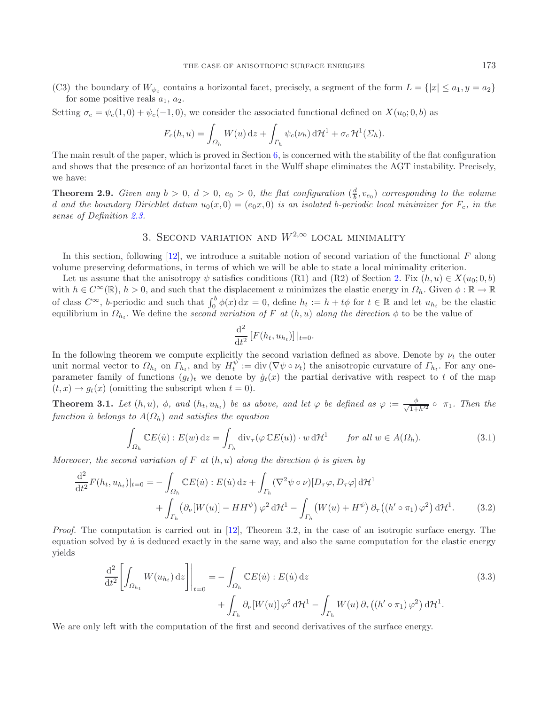(C3) the boundary of  $W_{\psi_c}$  contains a horizontal facet, precisely, a segment of the form  $L = \{|x| \le a_1, y = a_2\}$ for some positive reals  $a_1, a_2$ .

Setting  $\sigma_c = \psi_c(1,0) + \psi_c(-1,0)$ , we consider the associated functional defined on  $X(u_0;0,b)$  as

$$
F_c(h, u) = \int_{\Omega_h} W(u) \, \mathrm{d}z + \int_{\Gamma_h} \psi_c(\nu_h) \, \mathrm{d}H^1 + \sigma_c \, \mathcal{H}^1(\Sigma_h).
$$

The main result of the paper, which is proved in Section  $6$ , is concerned with the stability of the flat configuration and shows that the presence of an horizontal facet in the Wulff shape eliminates the AGT instability. Precisely, we have:

<span id="page-6-0"></span>**Theorem 2.9.** *Given any*  $b > 0$ ,  $d > 0$ ,  $e_0 > 0$ , the flat configuration  $(\frac{d}{b}, v_{e_0})$  corresponding to the volume d and the boundary Dirichlet datum  $u_0(x, 0) = (e_0x, 0)$  is an isolated b-periodic local minimizer for  $F_c$ , in the *sense of Definition [2.3.](#page-3-0)*

# 3. SECOND VARIATION AND  $W^{2,\infty}$  local minimality

<span id="page-6-1"></span>In this section, following  $[12]$ , we introduce a suitable notion of second variation of the functional F along volume preserving deformations, in terms of which we will be able to state a local minimality criterion.

Let us assume that the anisotropy  $\psi$  satisfies conditions (R1) and (R2) of Section [2.](#page-1-0) Fix  $(h, u) \in X(u_0; 0, b)$ with  $h \in C^{\infty}(\mathbb{R}), h > 0$ , and such that the displacement u minimizes the elastic energy in  $\Omega_h$ . Given  $\phi : \mathbb{R} \to \mathbb{R}$ of class  $C^{\infty}$ , b-periodic and such that  $\int_0^b \phi(x) dx = 0$ , define  $h_t := h + t\phi$  for  $t \in \mathbb{R}$  and let  $u_{h_t}$  be the elastic equilibrium in  $\Omega_{h_t}$ . We define the *second variation of*  $F$  at  $(h, u)$  along the direction

<span id="page-6-4"></span><span id="page-6-3"></span>
$$
\frac{\mathrm{d}^2}{\mathrm{d}t^2} \left[ F(h_t, u_{h_t}) \right] |_{t=0}.
$$

In the following theorem we compute explicitly the second variation defined as above. Denote by  $\nu_t$  the outer unit normal vector to  $\Omega_{h_t}$  on  $\Gamma_{h_t}$ , and by  $H_t^{\psi} := \text{div}(\nabla \psi \circ \nu_t)$  the anisotropic curvature of  $\Gamma_{h_t}$ . For any oneparameter family of functions  $(g_t)_t$  we denote by  $\dot{g}_t(x)$  the partial derivative with respect to t of the map  $(t, x) \rightarrow g_t(x)$  (omitting the subscript when  $t = 0$ ).

<span id="page-6-2"></span>**Theorem 3.1.** *Let*  $(h, u)$ *,*  $\phi$ *,* and  $(h_t, u_{h_t})$  *be as above, and let*  $\varphi$  *be defined as*  $\varphi := \frac{\phi}{\sqrt{1 + h'^2}} \circ \pi_1$ *. Then the*<br>function is belongs to  $A(O_t)$  and satisfies the equation *function*  $\dot{u}$  *belongs to*  $A(\Omega_h)$  *and satisfies the equation* 

$$
\int_{\Omega_h} \mathbb{C}E(\dot{u}) : E(w) \, \mathrm{d}z = \int_{\Gamma_h} \mathrm{div}_{\tau}(\varphi \, \mathbb{C}E(u)) \cdot w \, \mathrm{d}\mathcal{H}^1 \qquad \text{for all } w \in A(\Omega_h). \tag{3.1}
$$

*Moreover, the second variation of* F at  $(h, u)$  along the direction  $\phi$  is given by

$$
\frac{\mathrm{d}^2}{\mathrm{d}t^2} F(h_t, u_{h_t})|_{t=0} = -\int_{\Omega_h} \mathbb{C} E(\dot{u}) : E(\dot{u}) \, \mathrm{d}z + \int_{\Gamma_h} (\nabla^2 \psi \circ \nu) [D_\tau \varphi, D_\tau \varphi] \, \mathrm{d}t^1 + \int_{\Gamma_h} (\partial_\nu [W(u)] - HH^\psi) \, \varphi^2 \, \mathrm{d}t^1 - \int_{\Gamma_h} \left( W(u) + H^\psi \right) \partial_\tau \left( (h' \circ \pi_1) \, \varphi^2 \right) \mathrm{d}t^1. \tag{3.2}
$$

*Proof.* The computation is carried out in [\[12\]](#page-22-3), Theorem 3.2, in the case of an isotropic surface energy. The equation solved by  $\dot{u}$  is deduced exactly in the same way, and also the same computation for the elastic energy yields

$$
\frac{\mathrm{d}^2}{\mathrm{d}t^2} \left[ \int_{\Omega_{h_t}} W(u_{h_t}) \, \mathrm{d}z \right] \bigg|_{t=0} = - \int_{\Omega_h} \mathbb{C} E(\dot{u}) : E(\dot{u}) \, \mathrm{d}z + \int_{\Gamma_h} \partial_\nu [W(u)] \, \varphi^2 \, \mathrm{d}t^1 - \int_{\Gamma_h} W(u) \, \partial_\tau \left( (h' \circ \pi_1) \, \varphi^2 \right) \mathrm{d}t^1.
$$
\n(3.3)

We are only left with the computation of the first and second derivatives of the surface energy.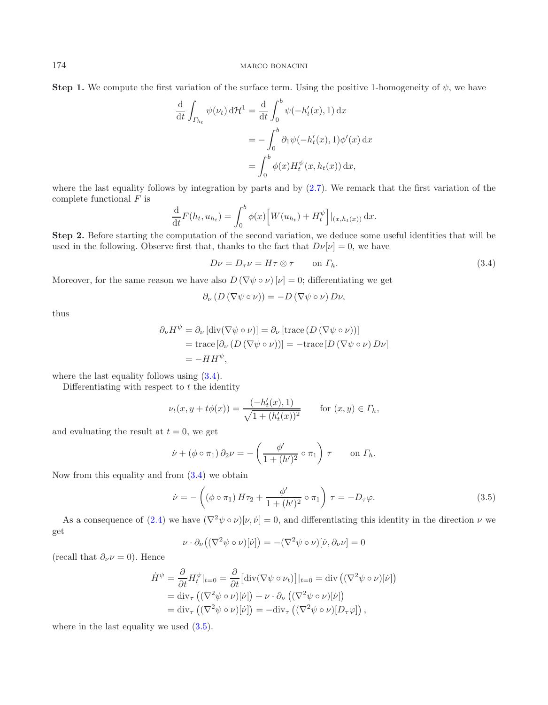**Step 1.** We compute the first variation of the surface term. Using the positive 1-homogeneity of  $\psi$ , we have

<span id="page-7-0"></span>
$$
\frac{\mathrm{d}}{\mathrm{d}t} \int_{\Gamma_{h_t}} \psi(\nu_t) \, \mathrm{d}t^1 = \frac{\mathrm{d}}{\mathrm{d}t} \int_0^b \psi(-h_t'(x), 1) \, \mathrm{d}x
$$
\n
$$
= -\int_0^b \partial_1 \psi(-h_t'(x), 1) \phi'(x) \, \mathrm{d}x
$$
\n
$$
= \int_0^b \phi(x) H_t^{\psi}(x, h_t(x)) \, \mathrm{d}x,
$$

where the last equality follows by integration by parts and by  $(2.7)$ . We remark that the first variation of the complete functional  $F$  is

$$
\frac{\mathrm{d}}{\mathrm{d}t}F(h_t, u_{h_t}) = \int_0^b \phi(x) \Big[W(u_{h_t}) + H_t^{\psi}\Big]|_{(x, h_t(x))} \,\mathrm{d}x.
$$

**Step 2.** Before starting the computation of the second variation, we deduce some useful identities that will be used in the following. Observe first that, thanks to the fact that  $D\nu[\nu] = 0$ , we have

$$
D\nu = D_{\tau}\nu = H\tau \otimes \tau \qquad \text{on } \Gamma_h. \tag{3.4}
$$

Moreover, for the same reason we have also  $D(\nabla \psi \circ \nu)$   $[\nu] = 0$ ; differentiating we get

<span id="page-7-1"></span>
$$
\partial_{\nu} (D (\nabla \psi \circ \nu)) = -D (\nabla \psi \circ \nu) D \nu,
$$

thus

$$
\partial_{\nu} H^{\psi} = \partial_{\nu} [\text{div}(\nabla \psi \circ \nu)] = \partial_{\nu} [\text{trace} (D (\nabla \psi \circ \nu))]
$$
  
= trace  $[\partial_{\nu} (D (\nabla \psi \circ \nu))]$  = -trace  $[D (\nabla \psi \circ \nu) D \nu]$   
= -HH <sup>$\psi$</sup> ,

where the last equality follows using [\(3.4\)](#page-7-0).

Differentiating with respect to  $t$  the identity

$$
\nu_t(x, y + t\phi(x)) = \frac{(-h'_t(x), 1)}{\sqrt{1 + (h'_t(x))^2}} \quad \text{for } (x, y) \in \Gamma_h,
$$

and evaluating the result at  $t = 0$ , we get

$$
\dot{\nu} + (\phi \circ \pi_1) \, \partial_2 \nu = -\left(\frac{\phi'}{1 + (h')^2} \circ \pi_1\right) \, \tau \qquad \text{on } \Gamma_h.
$$

Now from this equality and from [\(3.4\)](#page-7-0) we obtain

$$
\dot{\nu} = -\left( (\phi \circ \pi_1) H \tau_2 + \frac{\phi'}{1 + (h')^2} \circ \pi_1 \right) \tau = -D_\tau \varphi.
$$
\n(3.5)

As a consequence of [\(2.4\)](#page-4-3) we have  $(\nabla^2 \psi \circ \nu)[\nu, \dot{\nu}] = 0$ , and differentiating this identity in the direction  $\nu$  we get

$$
\nu \cdot \partial_{\nu} \left( (\nabla^2 \psi \circ \nu)[\dot{\nu}] \right) = -(\nabla^2 \psi \circ \nu)[\dot{\nu}, \partial_{\nu} \nu] = 0
$$

(recall that  $\partial_{\nu} \nu = 0$ ). Hence

$$
\dot{H}^{\psi} = \frac{\partial}{\partial t} H_t^{\psi}|_{t=0} = \frac{\partial}{\partial t} \left[ \operatorname{div} (\nabla \psi \circ \nu_t) \right] |_{t=0} = \operatorname{div} \left( (\nabla^2 \psi \circ \nu) [\dot{\nu}] \right)
$$
  
=  $\operatorname{div}_{\tau} \left( (\nabla^2 \psi \circ \nu) [\dot{\nu}] \right) + \nu \cdot \partial_{\nu} \left( (\nabla^2 \psi \circ \nu) [\dot{\nu}] \right)$   
=  $\operatorname{div}_{\tau} \left( (\nabla^2 \psi \circ \nu) [\dot{\nu}] \right) = -\operatorname{div}_{\tau} \left( (\nabla^2 \psi \circ \nu) [D_{\tau} \varphi] \right),$ 

where in the last equality we used  $(3.5)$ .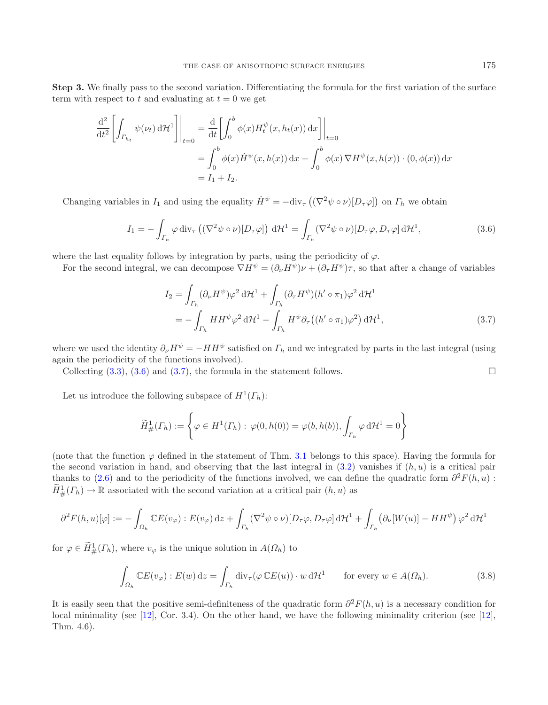**Step 3.** We finally pass to the second variation. Differentiating the formula for the first variation of the surface term with respect to t and evaluating at  $t = 0$  we get

$$
\frac{\mathrm{d}^2}{\mathrm{d}t^2} \left[ \int_{\Gamma_{h_t}} \psi(\nu_t) \, \mathrm{d}t^1 \right] \bigg|_{t=0} = \frac{\mathrm{d}}{\mathrm{d}t} \left[ \int_0^b \phi(x) H_t^{\psi}(x, h_t(x)) \, \mathrm{d}x \right] \bigg|_{t=0}
$$
\n
$$
= \int_0^b \phi(x) \dot{H}^{\psi}(x, h(x)) \, \mathrm{d}x + \int_0^b \phi(x) \, \nabla H^{\psi}(x, h(x)) \cdot (0, \phi(x)) \, \mathrm{d}x
$$
\n
$$
= I_1 + I_2.
$$

Changing variables in  $I_1$  and using the equality  $\dot{H}^{\psi} = -\text{div}_{\tau}((\nabla^2 \psi \circ \nu)[D_{\tau} \varphi])$  on  $\Gamma_h$  we obtain

<span id="page-8-0"></span>
$$
I_1 = -\int_{\Gamma_h} \varphi \operatorname{div}_{\tau} \left( (\nabla^2 \psi \circ \nu) [D_\tau \varphi] \right) d\mathcal{H}^1 = \int_{\Gamma_h} (\nabla^2 \psi \circ \nu) [D_\tau \varphi, D_\tau \varphi] d\mathcal{H}^1,
$$
(3.6)

where the last equality follows by integration by parts, using the periodicity of  $\varphi$ .

For the second integral, we can decompose  $\nabla H^{\psi} = (\partial_{\nu}H^{\psi})\nu + (\partial_{\tau}H^{\psi})\tau$ , so that after a change of variables

<span id="page-8-1"></span>
$$
I_2 = \int_{\Gamma_h} (\partial_\nu H^\psi) \varphi^2 d\mathcal{H}^1 + \int_{\Gamma_h} (\partial_\tau H^\psi) (h' \circ \pi_1) \varphi^2 d\mathcal{H}^1
$$
  
= 
$$
- \int_{\Gamma_h} H H^\psi \varphi^2 d\mathcal{H}^1 - \int_{\Gamma_h} H^\psi \partial_\tau ((h' \circ \pi_1) \varphi^2) d\mathcal{H}^1,
$$
 (3.7)

where we used the identity  $\partial_{\nu}H^{\psi} = -HH^{\psi}$  satisfied on  $\Gamma_h$  and we integrated by parts in the last integral (using again the periodicity of the functions involved).

Collecting  $(3.3)$ ,  $(3.6)$  and  $(3.7)$ , the formula in the statement follows.

Let us introduce the following subspace of  $H^1(\Gamma_h)$ :

$$
\widetilde{H}^1_{\#}(\Gamma_h) := \left\{ \varphi \in H^1(\Gamma_h) : \varphi(0, h(0)) = \varphi(b, h(b)), \int_{\Gamma_h} \varphi \, d\mathcal{H}^1 = 0 \right\}
$$

(note that the function  $\varphi$  defined in the statement of Thm. [3.1](#page-6-2) belongs to this space). Having the formula for the second variation in hand, and observing that the last integral in  $(3.2)$  vanishes if  $(h, u)$  is a critical pair thanks to [\(2.6\)](#page-4-2) and to the periodicity of the functions involved, we can define the quadratic form  $\partial^2 F(h, u)$ :  $\widetilde{H}^1_{\#}(T_h) \to \mathbb{R}$  associated with the second variation at a critical pair  $(h, u)$  as

$$
\partial^2 F(h, u)[\varphi] := -\int_{\Omega_h} \mathbb{C} E(v_{\varphi}) : E(v_{\varphi}) \, \mathrm{d}z + \int_{\Gamma_h} (\nabla^2 \psi \circ \nu) [D_\tau \varphi, D_\tau \varphi] \, \mathrm{d}z + \int_{\Gamma_h} \left( \partial_\nu [W(u)] - HH^{\psi} \right) \varphi^2 \, \mathrm{d}z + \int_{\Gamma_h} \left( \partial_\nu [W(u)] - HH^{\psi} \right) \varphi^2 \, \mathrm{d}z
$$

for  $\varphi \in H^1_{\#}(\Gamma_h)$ , where  $v_{\varphi}$  is the unique solution in  $A(\Omega_h)$  to

$$
\int_{\Omega_h} \mathbb{C}E(v_\varphi) : E(w) \, \mathrm{d}z = \int_{\Gamma_h} \mathrm{div}_\tau(\varphi \, \mathbb{C}E(u)) \cdot w \, \mathrm{d}\mathcal{H}^1 \qquad \text{for every } w \in A(\Omega_h). \tag{3.8}
$$

<span id="page-8-2"></span>It is easily seen that the positive semi-definiteness of the quadratic form  $\partial^2 F(h, u)$  is a necessary condition for local minimality (see [\[12\]](#page-22-3), Cor. 3.4). On the other hand, we have the following minimality criterion (see [\[12](#page-22-3)], Thm. 4.6).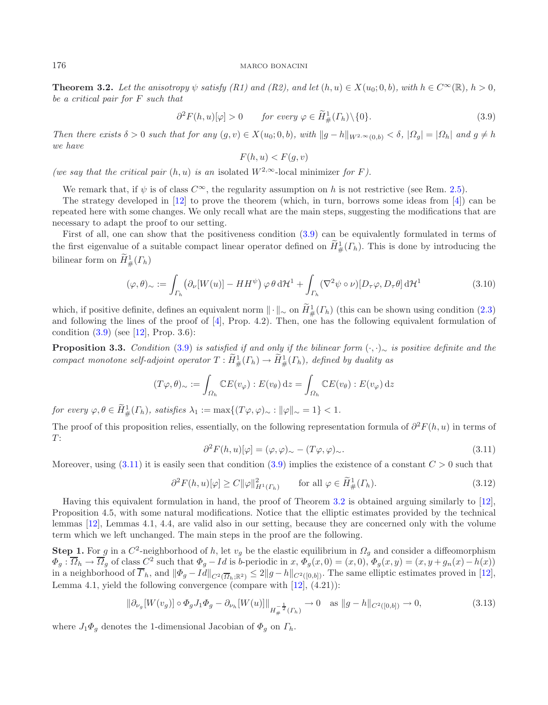**Theorem 3.2.** *Let the anisotropy*  $\psi$  *satisfy* (R1) and (R2), and let  $(h, u) \in X(u_0; 0, b)$ *, with*  $h \in C^{\infty}(\mathbb{R})$ *,*  $h > 0$ *, be a critical pair for* F *such that*

$$
\partial^2 F(h, u)[\varphi] > 0 \qquad \text{for every } \varphi \in \widetilde{H}^1_{\#}(T_h) \setminus \{0\}. \tag{3.9}
$$

<span id="page-9-2"></span>*Then there exists*  $\delta > 0$  *such that for any*  $(g, v) \in X(u_0; 0, b)$ *, with*  $||g - h||_{W^{2,\infty}(0,b)} < \delta$ *,*  $|\Omega_q| = |\Omega_h|$  *and*  $g \neq h$ *we have*

<span id="page-9-3"></span>
$$
F(h, u) < F(g, v)
$$

*(we say that the critical pair*  $(h, u)$  *is an* isolated  $W^{2,\infty}$ -local minimizer *for* F*)*.

<span id="page-9-4"></span>We remark that, if  $\psi$  is of class  $C^{\infty}$ , the regularity assumption on h is not restrictive (see Rem. [2.5\)](#page-4-5).

The strategy developed in [\[12](#page-22-3)] to prove the theorem (which, in turn, borrows some ideas from [\[4](#page-22-13)]) can be repeated here with some changes. We only recall what are the main steps, suggesting the modifications that are necessary to adapt the proof to our setting.

First of all, one can show that the positiveness condition [\(3.9\)](#page-9-0) can be equivalently formulated in terms of the first eigenvalue of a suitable compact linear operator defined on  $H^1_{\#}(F_h)$ . This is done by introducing the bilinear form on  $H^1_{\#}(\Gamma_h)$ 

$$
(\varphi,\theta)_{\sim} := \int_{\Gamma_h} \left( \partial_{\nu} [W(u)] - HH^{\psi} \right) \varphi \, \theta \, d\mathcal{H}^1 + \int_{\Gamma_h} (\nabla^2 \psi \circ \nu) [D_\tau \varphi, D_\tau \theta] \, d\mathcal{H}^1 \tag{3.10}
$$

<span id="page-9-1"></span>which, if positive definite, defines an equivalent norm  $\|\cdot\|_{\infty}$  on  $H_{\#}^1(F_h)$  (this can be shown using condition [\(2.3\)](#page-4-0)<br>and following the lines of the proof of [4]. Prop. 4.2). Then, one has the following equivalent and following the lines of the proof of [\[4](#page-22-13)], Prop. 4.2). Then, one has the following equivalent formulation of condition  $(3.9)$  (see [\[12](#page-22-3)], Prop. 3.6):

**Proposition 3.3.** *Condition* [\(3.9\)](#page-9-0) *is satisfied if and only if the bilinear form* (·, ·)<sup>∼</sup> *is positive definite and the compact monotone self-adjoint operator*  $T: H^1_{\#}(\Gamma_h) \to H^1_{\#}(\Gamma_h)$ , defined by duality as

$$
(T\varphi,\theta)_{\sim} := \int_{\Omega_h} \mathbb{C}E(v_{\varphi}) : E(v_{\theta}) dz = \int_{\Omega_h} \mathbb{C}E(v_{\theta}) : E(v_{\varphi}) dz
$$

*for every*  $\varphi, \theta \in H^1_{\#}(\Gamma_h)$ *, satisfies*  $\lambda_1 := \max\{(T\varphi, \varphi)_{\sim} : ||\varphi||_{\sim} = 1\} < 1$ *.* 

The proof of this proposition relies, essentially, on the following representation formula of  $\partial^2 F(h, u)$  in terms of  $T$ :

$$
\partial^2 F(h, u)[\varphi] = (\varphi, \varphi)_{\sim} - (T\varphi, \varphi)_{\sim}.
$$
\n(3.11)

Moreover, using  $(3.11)$  it is easily seen that condition  $(3.9)$  implies the existence of a constant  $C > 0$  such that

$$
\partial^2 F(h, u)[\varphi] \ge C \|\varphi\|_{H^1(\Gamma_h)}^2 \qquad \text{for all } \varphi \in \tilde{H}^1_{\#}(\Gamma_h). \tag{3.12}
$$

Having this equivalent formulation in hand, the proof of Theorem [3.2](#page-8-2) is obtained arguing similarly to [\[12](#page-22-3)], Proposition 4.5, with some natural modifications. Notice that the elliptic estimates provided by the technical lemmas [\[12\]](#page-22-3), Lemmas 4.1, 4.4, are valid also in our setting, because they are concerned only with the volume term which we left unchanged. The main steps in the proof are the following.

**Step 1.** For g in a  $C^2$ -neighborhood of h, let  $v_g$  be the elastic equilibrium in  $\Omega_g$  and consider a diffeomorphism  $\Phi_g: \Omega_h \to \Omega_g$  of class  $C^2$  such that  $\Phi_g - Id$  is b-periodic in  $x, \Phi_g(x, 0) = (x, 0), \Phi_g(x, y) = (x, y + g_n(x) - h(x))$ in a neighborhood of  $\Gamma_h$ , and  $\|\Phi_g - Id\|_{C^2(\overline{\Omega}_h; \mathbb{R}^2)} \leq 2\|g-h\|_{C^2([0,b])}$ . The same elliptic estimates proved in [\[12](#page-22-3)], Lemma 4.1, yield the following convergence (compare with  $[12]$ ,  $(4.21)$ ):

$$
\|\partial_{\nu_g}[W(v_g)] \circ \Phi_g J_1 \Phi_g - \partial_{\nu_h}[W(u)]\|_{H^{-\frac{1}{2}}_{\#}(T_h)} \to 0 \quad \text{as } \|g - h\|_{C^2([0,b])} \to 0,
$$
\n(3.13)

where  $J_1\Phi_g$  denotes the 1-dimensional Jacobian of  $\Phi_g$  on  $\Gamma_h$ .

<span id="page-9-0"></span>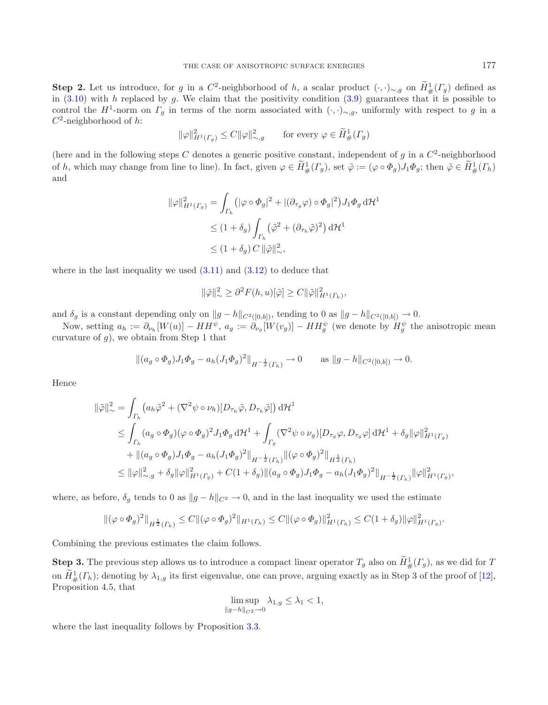**Step 2.** Let us introduce, for g in a C<sup>2</sup>-neighborhood of h, a scalar product  $(·, ·)$ ∼,g on  $\tilde{H}^1_+(T_g)$  defined as in (3.10) with h replaced by g. We claim that the positivity condition (3.9) guarantees that it is p in [\(3.10\)](#page-9-2) with h replaced by g. We claim that the positivity condition [\(3.9\)](#page-9-0) guarantees that it is possible to control the H<sup>1</sup>-norm on  $\Gamma_g$  in terms of the norm associated with  $(\cdot, \cdot)_{\sim, g}$ , uniformly with respect to g in a  $C^2$ -neighborhood of h:

$$
\|\varphi\|_{H^1(\Gamma_g)}^2 \le C \|\varphi\|_{\sim, g}^2 \qquad \text{for every } \varphi \in \widetilde{H}^1_{\#}(\Gamma_g)
$$

(here and in the following steps  $C$  denotes a generic positive constant, independent of  $g$  in a  $C^2$ -neighborhood of h, which may change from line to line). In fact, given  $\varphi \in H^1_{\#}(\Gamma_g)$ , set  $\tilde{\varphi} := (\varphi \circ \Phi_g) J_1 \Phi_g$ ; then  $\tilde{\varphi} \in H^1_{\#}(\Gamma_h)$ and

$$
\begin{aligned} \|\varphi\|_{H^1(\Gamma_g)}^2 &= \int_{\Gamma_h} \left( |\varphi \circ \Phi_g|^2 + |(\partial_{\tau_g} \varphi) \circ \Phi_g|^2 \right) J_1 \Phi_g \, \mathrm{d} \mathcal{H}^1 \\ &\leq (1 + \delta_g) \int_{\Gamma_h} \left( \tilde{\varphi}^2 + (\partial_{\tau_h} \tilde{\varphi})^2 \right) \mathrm{d} \mathcal{H}^1 \\ &\leq (1 + \delta_g) \, C \, \|\tilde{\varphi}\|_{\infty}^2, \end{aligned}
$$

where in the last inequality we used  $(3.11)$  and  $(3.12)$  to deduce that

$$
\|\tilde{\varphi}\|_{\infty}^2 \geq \partial^2 F(h, u)[\tilde{\varphi}] \geq C \|\tilde{\varphi}\|_{H^1(\Gamma_h)}^2,
$$

and  $\delta_g$  is a constant depending only on  $||g-h||_{C^2([0,b])}$ , tending to 0 as  $||g-h||_{C^2([0,b])} \to 0$ .

Now, setting  $a_h := \partial_{\nu_h}[W(u)] - HH^{\psi}, a_g := \partial_{\nu_g}[W(v_g)] - HH_g^{\psi}$  (we denote by  $H_g^{\psi}$  the anisotropic mean curvature of  $g$ ), we obtain from Step 1 that

$$
\left\| (a_g \circ \Phi_g) J_1 \Phi_g - a_h (J_1 \Phi_g)^2 \right\|_{H^{-\frac{1}{2}}(\Gamma_h)} \to 0 \quad \text{as } \|g - h\|_{C^2([0,b])} \to 0.
$$

Hence

$$
\begin{split} \|\tilde{\varphi}\|_\sim^2 & = \int_{\Gamma_h} \left( a_h \tilde{\varphi}^2 + (\nabla^2 \psi \circ \nu_h) [D_{\tau_h} \tilde{\varphi}, D_{\tau_h} \tilde{\varphi}] \right) \mathrm{d} \mathcal{H}^1 \\ & \leq \int_{\Gamma_h} (a_g \circ \Phi_g) (\varphi \circ \Phi_g)^2 J_1 \Phi_g \, \mathrm{d} \mathcal{H}^1 + \int_{\Gamma_g} (\nabla^2 \psi \circ \nu_g) [D_{\tau_g} \varphi, D_{\tau_g} \varphi] \, \mathrm{d} \mathcal{H}^1 + \delta_g \| \varphi \|_{H^1(\Gamma_g)}^2 \\ & \quad + \| (a_g \circ \Phi_g) J_1 \Phi_g - a_h (J_1 \Phi_g)^2 \|_{H^{-\frac{1}{2}}(\Gamma_h)} \| (\varphi \circ \Phi_g)^2 \|_{H^{\frac{1}{2}}(\Gamma_h)} \\ & \leq \| \varphi \|_{\sim, g}^2 + \delta_g \| \varphi \|_{H^1(\Gamma_g)}^2 + C (1 + \delta_g) \| (a_g \circ \Phi_g) J_1 \Phi_g - a_h (J_1 \Phi_g)^2 \|_{H^{-\frac{1}{2}}(\Gamma_h)} \| \varphi \|_{H^1(\Gamma_g)}^2, \end{split}
$$

where, as before,  $\delta_g$  tends to 0 as  $||g - h||_{C^2} \to 0$ , and in the last inequality we used the estimate

$$
\|(\varphi \circ \Phi_g)^2\|_{H^{\frac{1}{2}}(\Gamma_h)} \leq C\|(\varphi \circ \Phi_g)^2\|_{H^1(\Gamma_h)} \leq C\|(\varphi \circ \Phi_g)\|_{H^1(\Gamma_h)}^2 \leq C(1+\delta_g)\|\varphi\|_{H^1(\Gamma_g)}^2.
$$

Combining the previous estimates the claim follows.

**Step 3.** The previous step allows us to introduce a compact linear operator  $T_g$  also on  $\widetilde{H}^1_+(T_g)$ , as we did for  $T_g$ on  $H^1_{\#}(F_h)$ ; denoting by  $\lambda_{1,g}$  its first eigenvalue, one can prove, arguing exactly as in Step 3 of the proof of [\[12](#page-22-3)], Proposition 4.5, that Proposition 4.5, that

$$
\limsup_{\|g-h\|_{C^2}\to 0} \lambda_{1,g} \le \lambda_1 < 1,
$$

where the last inequality follows by Proposition [3.3.](#page-9-4)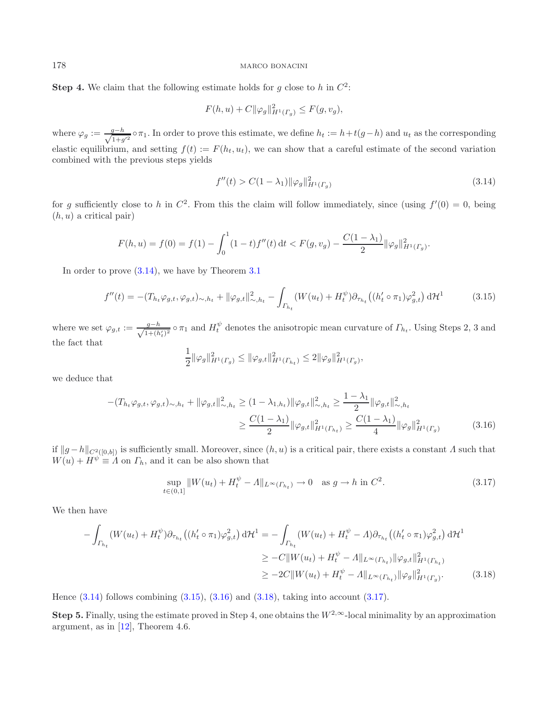**Step 4.** We claim that the following estimate holds for g close to h in  $C^2$ :

<span id="page-11-0"></span>
$$
F(h, u) + C ||\varphi_g||_{H^1(\Gamma_g)}^2 \le F(g, v_g),
$$

where  $\varphi_g := \frac{g-h}{\sqrt{1+g'^2}} \circ \pi_1$ . In order to prove this estimate, we define  $h_t := h + t(g-h)$  and  $u_t$  as the corresponding elastic equilibrium, and setting  $f(t) := F(h_t, u_t)$ , we can show that a careful estimate of the second variation combined with the previous steps yields

<span id="page-11-2"></span><span id="page-11-1"></span>
$$
f''(t) > C(1 - \lambda_1) \|\varphi_g\|_{H^1(\Gamma_g)}^2 \tag{3.14}
$$

for g sufficiently close to h in  $C^2$ . From this the claim will follow immediately, since (using  $f'(0) = 0$ , being  $(h, u)$  a critical pair)

$$
F(h, u) = f(0) = f(1) - \int_0^1 (1-t)f''(t) dt < F(g, v_g) - \frac{C(1 - \lambda_1)}{2} ||\varphi_g||_{H^1(\Gamma_g)}^2.
$$

In order to prove  $(3.14)$ , we have by Theorem  $3.1$ 

$$
f''(t) = -(T_{h_t}\varphi_{g,t}, \varphi_{g,t})_{\sim, h_t} + \|\varphi_{g,t}\|_{\sim, h_t}^2 - \int_{\Gamma_{h_t}} (W(u_t) + H_t^{\psi}) \partial_{\tau_{h_t}} \left( (h_t' \circ \pi_1) \varphi_{g,t}^2 \right) d\mathcal{H}^1 \tag{3.15}
$$

where we set  $\varphi_{g,t} := \frac{g-h}{\sqrt{1+(h)}}$  $\frac{g-h}{1+(h'_t)^2}$   $\circ$   $\pi_1$  and  $H_t^{\psi}$  denotes the anisotropic mean curvature of  $\Gamma_{h_t}$ . Using Steps 2, 3 and the fact that

<span id="page-11-4"></span><span id="page-11-3"></span>
$$
\frac{1}{2} \|\varphi_g\|_{H^1(\Gamma_g)}^2 \le \|\varphi_{g,t}\|_{H^1(\Gamma_{h_t})}^2 \le 2 \|\varphi_g\|_{H^1(\Gamma_g)}^2,
$$

we deduce that

$$
-(T_{h_t}\varphi_{g,t},\varphi_{g,t})_{\sim,h_t} + \|\varphi_{g,t}\|_{\sim,h_t}^2 \ge (1-\lambda_{1,h_t})\|\varphi_{g,t}\|_{\sim,h_t}^2 \ge \frac{1-\lambda_1}{2}\|\varphi_{g,t}\|_{\sim,h_t}^2
$$

$$
\ge \frac{C(1-\lambda_1)}{2}\|\varphi_{g,t}\|_{H^1(\Gamma_{h_t})}^2 \ge \frac{C(1-\lambda_1)}{4}\|\varphi_g\|_{H^1(\Gamma_g)}^2 \tag{3.16}
$$

if  $||g-h||_{C^2([0,b])}$  is sufficiently small. Moreover, since  $(h, u)$  is a critical pair, there exists a constant A such that  $W(u) + H^{\psi} \equiv A$  on  $\Gamma_h$ , and it can be also shown that

$$
\sup_{t \in (0,1]} \|W(u_t) + H_t^{\psi} - A\|_{L^{\infty}(\Gamma_{h_t})} \to 0 \quad \text{as } g \to h \text{ in } C^2.
$$
\n(3.17)

We then have

$$
-\int_{\Gamma_{h_t}} (W(u_t) + H_t^{\psi}) \partial_{\tau_{h_t}} \left( (h'_t \circ \pi_1) \varphi_{g,t}^2 \right) d\mathcal{H}^1 = -\int_{\Gamma_{h_t}} (W(u_t) + H_t^{\psi} - \Lambda) \partial_{\tau_{h_t}} \left( (h'_t \circ \pi_1) \varphi_{g,t}^2 \right) d\mathcal{H}^1
$$
  
\n
$$
\geq -C \|W(u_t) + H_t^{\psi} - \Lambda \|_{L^{\infty}(\Gamma_{h_t})} \|\varphi_{g,t}\|_{H^1(\Gamma_{h_t})}^2
$$
  
\n
$$
\geq -2C \|W(u_t) + H_t^{\psi} - \Lambda \|_{L^{\infty}(\Gamma_{h_t})} \|\varphi_g\|_{H^1(\Gamma_g)}^2.
$$
\n(3.18)

Hence [\(3.14\)](#page-11-0) follows combining [\(3.15\)](#page-11-1), [\(3.16\)](#page-11-2) and [\(3.18\)](#page-11-3), taking into account [\(3.17\)](#page-11-4).

**Step 5.** Finally, using the estimate proved in Step 4, one obtains the  $W^{2,\infty}$ -local minimality by an approximation argument, as in [\[12\]](#page-22-3), Theorem 4.6.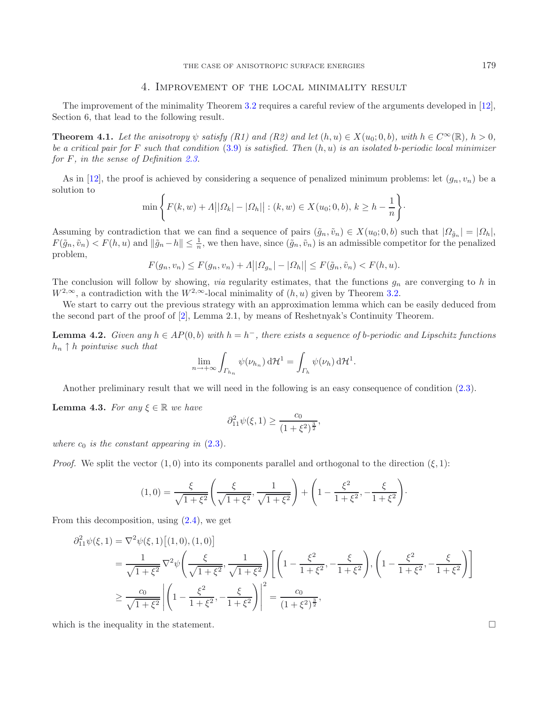### 4. Improvement of the local minimality result

<span id="page-12-4"></span><span id="page-12-0"></span>The improvement of the minimality Theorem [3.2](#page-8-2) requires a careful review of the arguments developed in [\[12](#page-22-3)], Section 6, that lead to the following result.

**Theorem 4.1.** *Let the anisotropy*  $\psi$  *satisfy* (R1) and (R2) and let  $(h, u) \in X(u_0; 0, b)$ *, with*  $h \in C^{\infty}(\mathbb{R})$ *, h* > 0*, be a critical pair for* F *such that condition* [\(3.9\)](#page-9-0) *is satisfied. Then* (h, u) *is an isolated* b*-periodic local minimizer for* F*, in the sense of Definition [2.3.](#page-3-0)*

As in [\[12](#page-22-3)], the proof is achieved by considering a sequence of penalized minimum problems: let  $(g_n, v_n)$  be a solution to

$$
\min \left\{ F(k, w) + A ||\Omega_k| - |\Omega_h|| : (k, w) \in X(u_0; 0, b), k \ge h - \frac{1}{n} \right\}.
$$

Assuming by contradiction that we can find a sequence of pairs  $(\tilde{g}_n, \tilde{v}_n) \in X(u_0; 0, b)$  such that  $|Q_{\tilde{g}_n}| = |Q_h|$ ,  $F(\tilde{g}_n, \tilde{v}_n) < F(h, u)$  and  $\|\tilde{g}_n - h\| \leq \frac{1}{n}$ , we then have, since  $(\tilde{g}_n, \tilde{v}_n)$  is an admissible competitor for the penalized problem,

$$
F(g_n, v_n) \le F(g_n, v_n) + A ||\Omega_{g_n}|- |\Omega_h|| \le F(\tilde{g}_n, \tilde{v}_n) < F(h, u).
$$

The conclusion will follow by showing, *via* regularity estimates, that the functions  $g_n$  are converging to h in  $W^{2,\infty}$ , a contradiction with the  $W^{2,\infty}$ -local minimality of  $(h, u)$  given by Theorem [3.2.](#page-8-2)

<span id="page-12-1"></span>We start to carry out the previous strategy with an approximation lemma which can be easily deduced from the second part of the proof of [\[2](#page-22-0)], Lemma 2.1, by means of Reshetnyak's Continuity Theorem.

**Lemma 4.2.** *Given any*  $h ∈ AP(0, b)$  *with*  $h = h<sup>−</sup>$ , *there exists a sequence of b-periodic and Lipschitz functions* h<sup>n</sup> ↑ h *pointwise such that*

$$
\lim_{n \to +\infty} \int_{\Gamma_{h_n}} \psi(\nu_{h_n}) \, d\mathcal{H}^1 = \int_{\Gamma_h} \psi(\nu_h) \, d\mathcal{H}^1.
$$

Another preliminary result that we will need in the following is an easy consequence of condition [\(2.3\)](#page-4-0).

<span id="page-12-3"></span>**Lemma 4.3.** *For any*  $\xi \in \mathbb{R}$  *we have* 

$$
\partial_{11}^2 \psi(\xi, 1) \ge \frac{c_0}{(1 + \xi^2)^{\frac{3}{2}}},
$$

*where*  $c_0$  *is the constant appearing in*  $(2.3)$ *.* 

*Proof.* We split the vector  $(1, 0)$  into its components parallel and orthogonal to the direction  $(\xi, 1)$ :

$$
(1,0) = \frac{\xi}{\sqrt{1+\xi^2}} \left( \frac{\xi}{\sqrt{1+\xi^2}}, \frac{1}{\sqrt{1+\xi^2}} \right) + \left( 1 - \frac{\xi^2}{1+\xi^2}, -\frac{\xi}{1+\xi^2} \right).
$$

From this decomposition, using  $(2.4)$ , we get

$$
\partial_{11}^{2} \psi(\xi,1) = \nabla^{2} \psi(\xi,1) \left[ (1,0), (1,0) \right]
$$
\n
$$
= \frac{1}{\sqrt{1+\xi^{2}}} \nabla^{2} \psi \left( \frac{\xi}{\sqrt{1+\xi^{2}}}, \frac{1}{\sqrt{1+\xi^{2}}} \right) \left[ \left( 1 - \frac{\xi^{2}}{1+\xi^{2}}, -\frac{\xi}{1+\xi^{2}} \right), \left( 1 - \frac{\xi^{2}}{1+\xi^{2}}, -\frac{\xi}{1+\xi^{2}} \right) \right]
$$
\n
$$
\geq \frac{c_{0}}{\sqrt{1+\xi^{2}}} \left| \left( 1 - \frac{\xi^{2}}{1+\xi^{2}}, -\frac{\xi}{1+\xi^{2}} \right) \right|^{2} = \frac{c_{0}}{(1+\xi^{2})^{\frac{3}{2}}},
$$

<span id="page-12-2"></span>which is the inequality in the statement.  $\Box$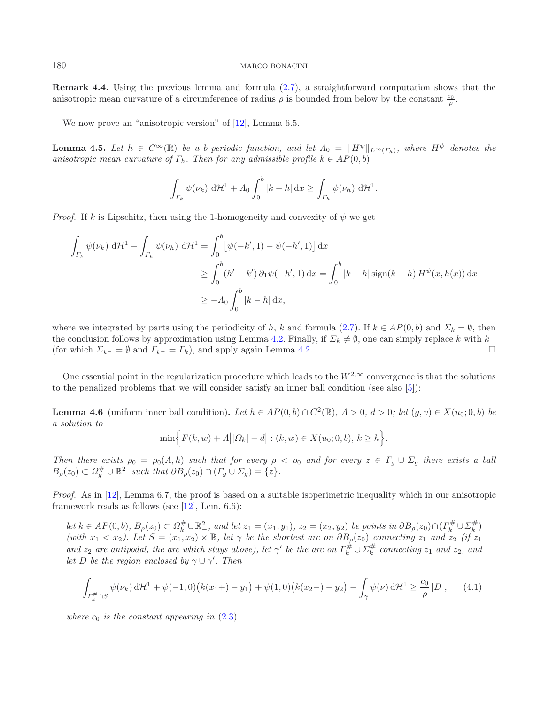**Remark 4.4.** Using the previous lemma and formula [\(2.7\)](#page-4-4), a straightforward computation shows that the anisotropic mean curvature of a circumference of radius  $\rho$  is bounded from below by the constant  $\frac{c_0}{\rho}$ .

We now prove an "anisotropic version" of [\[12\]](#page-22-3), Lemma 6.5.

<span id="page-13-1"></span>**Lemma 4.5.** Let  $h \in C^{\infty}(\mathbb{R})$  be a b-periodic function, and let  $\Lambda_0 = ||H^{\psi}||_{L^{\infty}(\Gamma_h)}$ , where  $H^{\psi}$  denotes the *anisotropic mean curvature of*  $\Gamma_h$ . Then for any admissible profile  $k \in AP(0, b)$ 

$$
\int_{\Gamma_k} \psi(\nu_k) \, d\mathcal{H}^1 + \Lambda_0 \int_0^b |k - h| \, dx \ge \int_{\Gamma_h} \psi(\nu_h) \, d\mathcal{H}^1.
$$

*Proof.* If k is Lipschitz, then using the 1-homogeneity and convexity of  $\psi$  we get

$$
\int_{\Gamma_k} \psi(\nu_k) d\mathcal{H}^1 - \int_{\Gamma_h} \psi(\nu_h) d\mathcal{H}^1 = \int_0^b \left[ \psi(-k', 1) - \psi(-h', 1) \right] dx
$$
\n
$$
\geq \int_0^b (h' - k') \, \partial_1 \psi(-h', 1) dx = \int_0^b |k - h| \operatorname{sign}(k - h) H^{\psi}(x, h(x)) dx
$$
\n
$$
\geq -\Lambda_0 \int_0^b |k - h| dx,
$$

where we integrated by parts using the periodicity of h, k and formula [\(2.7\)](#page-4-4). If  $k \in AP(0, b)$  and  $\Sigma_k = \emptyset$ , then the conclusion follows by approximation using Lemma [4.2.](#page-12-1) Finally, if  $\Sigma_k \neq \emptyset$ , one can simply replace k with k<sup>−</sup> (for which  $\Sigma_{k^-} = \emptyset$  and  $\Gamma_{k^-} = \Gamma_k$ ), and apply again Lemma [4.2.](#page-12-1)

<span id="page-13-2"></span>One essential point in the regularization procedure which leads to the  $W^{2,\infty}$  convergence is that the solutions to the penalized problems that we will consider satisfy an inner ball condition (see also [\[5\]](#page-22-14)):

**Lemma 4.6** (uniform inner ball condition). Let  $h \in AP(0, b) \cap C^2(\mathbb{R})$ ,  $\Lambda > 0$ ,  $d > 0$ ; let  $(g, v) \in X(u_0; 0, b)$  be *a solution to*

<span id="page-13-0"></span>
$$
\min \Bigl\{ F(k, w) + A ||\Omega_k| - d \big| : (k, w) \in X(u_0; 0, b), k \ge h \Bigr\}.
$$

*Then there exists*  $\rho_0 = \rho_0(A, h)$  *such that for every*  $\rho < \rho_0$  *and for every*  $z \in \Gamma_g \cup \Sigma_g$  *there exists* a ball  $B_{\rho}(z_0) \subset \Omega_g^{\#} \cup \mathbb{R}^2$  such that  $\partial B_{\rho}(z_0) \cap (\Gamma_g \cup \Sigma_g) = \{z\}.$ 

*Proof.* As in [\[12\]](#page-22-3), Lemma 6.7, the proof is based on a suitable isoperimetric inequality which in our anisotropic framework reads as follows (see  $[12]$ , Lem. 6.6):

*let*  $k \in AP(0, b)$ *,*  $B_{\rho}(z_0) \subset \Omega_k^{\#} \cup \mathbb{R}^2$ *, and let*  $z_1 = (x_1, y_1)$ *,*  $z_2 = (x_2, y_2)$  *be points in*  $\partial B_{\rho}(z_0) \cap (\Gamma_k^{\#} \cup \Sigma_k^{\#})$ *(with*  $x_1 < x_2$ ). Let  $S = (x_1, x_2) \times \mathbb{R}$ , let  $\gamma$  be the shortest arc on  $\partial B_\rho(z_0)$  connecting  $z_1$  and  $z_2$  *(if*  $z_1$ ) *and*  $z_2$  *are antipodal, the arc which stays above), let*  $\gamma'$  *be the arc on*  $\Gamma_k^{\#} \cup \Sigma_k^{\#}$  *connecting*  $z_1$  *and*  $z_2$ *, and*<br>let  $D$  be the region enclosed by  $\gamma \cup \gamma'$ . Then *let* D *be the region enclosed by*  $\gamma \cup \gamma'$ *. Then* 

$$
\int_{\Gamma_k^{\#} \cap S} \psi(\nu_k) \, d\mathcal{H}^1 + \psi(-1,0) \big( k(x_1+) - y_1 \big) + \psi(1,0) \big( k(x_2-) - y_2 \big) - \int_{\gamma} \psi(\nu) \, d\mathcal{H}^1 \ge \frac{c_0}{\rho} |D|, \tag{4.1}
$$

*where*  $c_0$  *is the constant appearing in*  $(2.3)$ *.*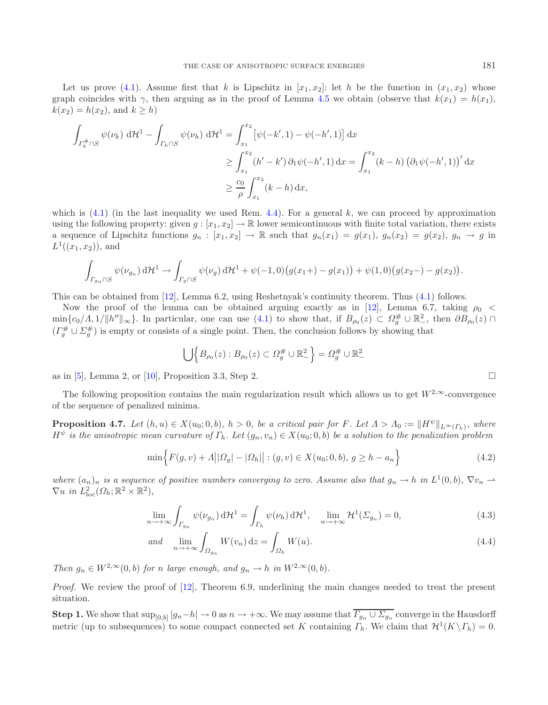Let us prove [\(4.1\)](#page-13-0). Assume first that k is Lipschitz in  $[x_1, x_2]$ : let h be the function in  $(x_1, x_2)$  whose graph coincides with  $\gamma$ , then arguing as in the proof of Lemma [4.5](#page-13-1) we obtain (observe that  $k(x_1) = h(x_1)$ ,  $k(x_2) = h(x_2)$ , and  $k > h$ 

$$
\int_{\Gamma_k^{\#} \cap S} \psi(\nu_k) \, d\mathcal{H}^1 - \int_{\Gamma_h \cap S} \psi(\nu_h) \, d\mathcal{H}^1 = \int_{x_1}^{x_2} \left[ \psi(-k', 1) - \psi(-h', 1) \right] dx
$$
\n
$$
\geq \int_{x_1}^{x_2} (h' - k') \, \partial_1 \psi(-h', 1) \, dx = \int_{x_1}^{x_2} (k - h) \left( \partial_1 \psi(-h', 1) \right)' dx
$$
\n
$$
\geq \frac{c_0}{\rho} \int_{x_1}^{x_2} (k - h) \, dx,
$$

which is  $(4.1)$  (in the last inequality we used Rem. [4.4\)](#page-12-2). For a general k, we can proceed by approximation using the following property: given  $g : [x_1, x_2] \to \mathbb{R}$  lower semicontinuous with finite total variation, there exists a sequence of Lipschitz functions  $g_n : [x_1, x_2] \to \mathbb{R}$  such that  $g_n(x_1) = g(x_1), g_n(x_2) = g(x_2), g_n \to g$  in  $L^1((x_1, x_2))$ , and

$$
\int_{\Gamma_{g_n} \cap S} \psi(\nu_{g_n}) d\mathcal{H}^1 \to \int_{\Gamma_g \cap S} \psi(\nu_g) d\mathcal{H}^1 + \psi(-1,0) \big(g(x_1+) - g(x_1)\big) + \psi(1,0) \big(g(x_2-) - g(x_2)\big).
$$

This can be obtained from [\[12\]](#page-22-3), Lemma 6.2, using Reshetnyak's continuity theorem. Thus [\(4.1\)](#page-13-0) follows.

Now the proof of the lemma can be obtained arguing exactly as in [\[12](#page-22-3)], Lemma 6.7, taking  $\rho_0$  <  $\min\{c_0/\Lambda, 1/\Vert h''\Vert_{\infty}\}.$  In particular, one can use  $(4.1)$  to show that, if  $B_{\rho_0}(z) \subset \Omega_g^{\#} \cup \mathbb{R}^2$ , then  $\partial B_{\rho_0}(z) \cap$  $(\Gamma_g^{\#} \cup \Sigma_g^{\#})$  is empty or consists of a single point. Then, the conclusion follows by showing that

$$
\bigcup \Big\{ B_{\rho_0}(z) : B_{\rho_0}(z) \subset \Omega_g^{\#} \cup \mathbb{R}^2_{-} \Big\} = \Omega_g^{\#} \cup \mathbb{R}^2_{-}
$$

as in [\[5](#page-22-14)], Lemma 2, or [\[10\]](#page-22-1), Proposition 3.3, Step 2.  $\Box$ 

<span id="page-14-2"></span>The following proposition contains the main regularization result which allows us to get  $W^{2,\infty}$ -convergence of the sequence of penalized minima.

**Proposition 4.7.** *Let*  $(h, u) \in X(u_0; 0, b)$ *,*  $h > 0$ *, be a critical pair for F. Let*  $\Lambda > \Lambda_0 := ||H^{\psi}||_{L^{\infty}(L_b)}$ *, where*  $H^{\psi}$  *is the anisotropic mean curvature of*  $\Gamma_h$ *. Let*  $(g_n, v_n) \in X(u_0; 0, b)$  *be a solution to the penalization problem* 

$$
\min\Big\{F(g,v) + \Lambda \big| |\Omega_g| - |\Omega_h| \big| : (g,v) \in X(u_0;0,b), \, g \ge h - a_n \Big\}
$$
\n(4.2)

*where*  $(a_n)_n$  *is a sequence of positive numbers converging to zero. Assume also that*  $g_n \to h$  *in*  $L^1(0,b)$ *,*  $\nabla v_n \to$  $\nabla u$  *in*  $L^2_{\text{loc}}(\Omega_h; \mathbb{R}^2 \times \mathbb{R}^2)$ ,

$$
\lim_{n \to +\infty} \int_{\Gamma_{g_n}} \psi(\nu_{g_n}) d\mathcal{H}^1 = \int_{\Gamma_h} \psi(\nu_h) d\mathcal{H}^1, \quad \lim_{n \to +\infty} \mathcal{H}^1(\Sigma_{g_n}) = 0,
$$
\n(4.3)

and 
$$
\lim_{n \to +\infty} \int_{\Omega_{g_n}} W(v_n) dz = \int_{\Omega_h} W(u).
$$
 (4.4)

*Then*  $g_n \in W^{2,\infty}(0,b)$  *for n large enough, and*  $g_n \to h$  *in*  $W^{2,\infty}(0,b)$ *.* 

*Proof.* We review the proof of [\[12\]](#page-22-3), Theorem 6.9, underlining the main changes needed to treat the present situation.

**Step 1.** We show that  $\sup_{[0,b]} |g_n-h| \to 0$  as  $n \to +\infty$ . We may assume that  $\overline{I_{g_n} \cup \Sigma_{g_n}}$  converge in the Hausdorff metric (up to subsequences) to some compact connected set K containing  $\Gamma_h$ . We claim that  $\mathcal{H}^1(K \setminus \Gamma_h) = 0$ .

<span id="page-14-3"></span><span id="page-14-1"></span><span id="page-14-0"></span>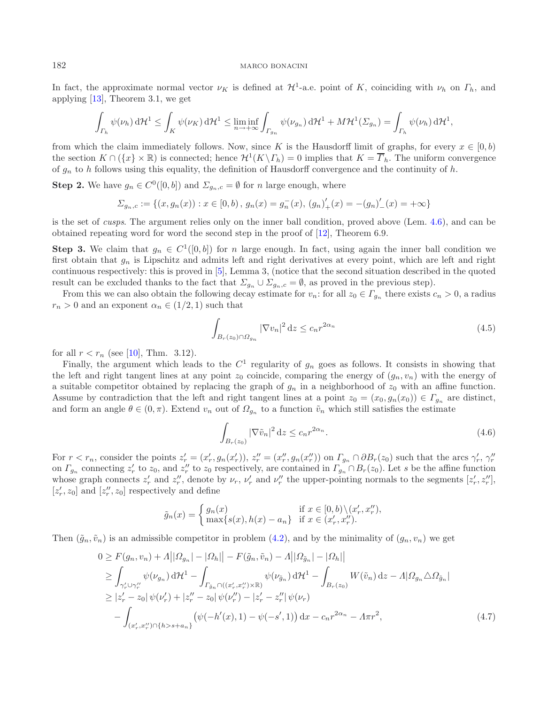In fact, the approximate normal vector  $\nu_K$  is defined at  $\mathcal{H}^1$ -a.e. point of K, coinciding with  $\nu_h$  on  $\Gamma_h$ , and applying [\[13](#page-22-15)], Theorem 3.1, we get

$$
\int_{\Gamma_h} \psi(\nu_h) d\mathcal{H}^1 \leq \int_K \psi(\nu_K) d\mathcal{H}^1 \leq \liminf_{n \to +\infty} \int_{\Gamma_{g_n}} \psi(\nu_{g_n}) d\mathcal{H}^1 + M\mathcal{H}^1(\Sigma_{g_n}) = \int_{\Gamma_h} \psi(\nu_h) d\mathcal{H}^1,
$$

from which the claim immediately follows. Now, since K is the Hausdorff limit of graphs, for every  $x \in [0, b)$ the section  $K \cap (\{x\} \times \mathbb{R})$  is connected; hence  $\mathcal{H}^1(K \setminus \Gamma_h) = 0$  implies that  $K = \overline{\Gamma}_h$ . The uniform convergence of  $q_n$  to h follows using this equality, the definition of Hausdorff convergence and the continuity of h.

**Step 2.** We have  $g_n \in C^0([0, b])$  and  $\Sigma_{g_n,c} = \emptyset$  for n large enough, where

$$
\Sigma_{g_n,c} := \{(x,g_n(x)) : x \in [0,b), g_n(x) = g_n^-(x), (g_n)'_+(x) = -(g_n)'_-(x) = +\infty\}
$$

is the set of *cusps*. The argument relies only on the inner ball condition, proved above (Lem. [4.6\)](#page-13-2), and can be obtained repeating word for word the second step in the proof of [\[12\]](#page-22-3), Theorem 6.9.

**Step 3.** We claim that  $g_n \in C^1([0, b])$  for n large enough. In fact, using again the inner ball condition we first obtain that  $g_n$  is Lipschitz and admits left and right derivatives at every point, which are left and right continuous respectively: this is proved in [\[5\]](#page-22-14), Lemma 3, (notice that the second situation described in the quoted result can be excluded thanks to the fact that  $\Sigma_{q_n} \cup \Sigma_{q_n,c} = \emptyset$ , as proved in the previous step).

From this we can also obtain the following decay estimate for  $v_n$ : for all  $z_0 \in \Gamma_{q_n}$  there exists  $c_n > 0$ , a radius  $r_n>0$  and an exponent  $\alpha_n\in(1/2,1)$  such that

<span id="page-15-0"></span>
$$
\int_{B_r(z_0)\cap\Omega_{g_n}} |\nabla v_n|^2 \, \mathrm{d}z \le c_n r^{2\alpha_n} \tag{4.5}
$$

for all  $r < r_n$  (see [\[10\]](#page-22-1), Thm. 3.12).

Finally, the argument which leads to the  $C^1$  regularity of  $g_n$  goes as follows. It consists in showing that the left and right tangent lines at any point  $z_0$  coincide, comparing the energy of  $(g_n, v_n)$  with the energy of a suitable competitor obtained by replacing the graph of  $g_n$  in a neighborhood of  $z_0$  with an affine function. Assume by contradiction that the left and right tangent lines at a point  $z_0 = (x_0, g_n(x_0)) \in \Gamma_{q_n}$  are distinct, and form an angle  $\theta \in (0, \pi)$ . Extend  $v_n$  out of  $\Omega_{q_n}$  to a function  $\tilde{v}_n$  which still satisfies the estimate

<span id="page-15-1"></span>
$$
\int_{B_r(z_0)} |\nabla \tilde{v}_n|^2 dz \le c_n r^{2\alpha_n}.
$$
\n(4.6)

For  $r < r_n$ , consider the points  $z'_r = (x'_r, g_n(x'_r)), z''_r = (x''_r, g_n(x''_r))$  on  $\Gamma_{g_n} \cap \partial B_r(z_0)$  such that the arcs  $\gamma'_r, \gamma''_r$ on  $\Gamma_{g_n}$  connecting  $z'_r$  to  $z_0$ , and  $z''_r$  to  $z_0$  respectively, are contained in  $\Gamma_{g_n} \cap B_r(z_0)$ . Let s be the affine function whose graph connects  $z'_r$  and  $z''_r$ , denote by  $\nu_r$ ,  $\nu'_r$  and  $\nu''_r$  the upper  $[z'_r, z_0]$  and  $[z''_r, z_0]$  respectively and define

$$
\tilde{g}_n(x) = \begin{cases} g_n(x) & \text{if } x \in [0, b) \setminus (x'_r, x''_r), \\ \max\{s(x), h(x) - a_n\} & \text{if } x \in (x'_r, x''_r). \end{cases}
$$

Then  $(\tilde{g}_n, \tilde{v}_n)$  is an admissible competitor in problem [\(4.2\)](#page-14-0), and by the minimality of  $(g_n, v_n)$  we get

$$
0 \ge F(g_n, v_n) + A||\Omega_{g_n}| - |\Omega_h|| - F(\tilde{g}_n, \tilde{v}_n) - A||\Omega_{\tilde{g}_n}| - |\Omega_h||
$$
  
\n
$$
\ge \int_{\gamma'_r \cup \gamma''_r} \psi(\nu_{g_n}) d\mathcal{H}^1 - \int_{\Gamma_{\tilde{g}_n} \cap ((x'_r, x''_r) \times \mathbb{R})} \psi(\nu_{\tilde{g}_n}) d\mathcal{H}^1 - \int_{B_r(z_0)} W(\tilde{v}_n) dz - A|\Omega_{g_n} \triangle \Omega_{\tilde{g}_n}|
$$
  
\n
$$
\ge |z'_r - z_0| \psi(\nu'_r) + |z''_r - z_0| \psi(\nu''_r) - |z'_r - z''_r| \psi(\nu_r)
$$
  
\n
$$
- \int_{(x'_r, x''_r) \cap \{h > s + a_n\}} (\psi(-h'(x), 1) - \psi(-s', 1)) dx - c_n r^{2\alpha_n} - A\pi r^2,
$$
\n(4.7)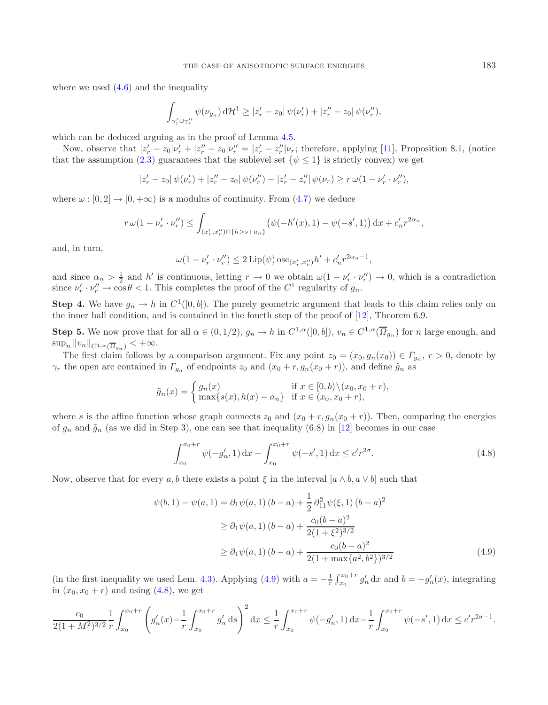where we used  $(4.6)$  and the inequality

$$
\int_{\gamma'_r \cup \gamma''_r} \psi(\nu_{g_n}) d\mathcal{H}^1 \geq |z'_r - z_0| \psi(\nu'_r) + |z''_r - z_0| \psi(\nu''_r),
$$

which can be deduced arguing as in the proof of Lemma [4.5.](#page-13-1)

Now, observe that  $|z'_r - z_0|\nu'_r + |z''_r - z_0|\nu''_r = |z'_r - z''_r|\nu_r$ ; therefore, applying [\[11](#page-22-5)], Proposition 8.1, (notice that the assumption [\(2.3\)](#page-4-0) guarantees that the sublevel set  $\{\psi \leq 1\}$  is strictly convex) we get

$$
|z'_r - z_0| \psi(\nu'_r) + |z''_r - z_0| \psi(\nu''_r) - |z'_r - z''_r| \psi(\nu_r) \ge r \omega (1 - \nu'_r \cdot \nu''_r),
$$

where  $\omega : [0, 2] \to [0, +\infty)$  is a modulus of continuity. From [\(4.7\)](#page-15-1) we deduce

$$
r \omega (1 - \nu_r' \cdot \nu_r'') \le \int_{(x_r', x_r'') \cap \{h > s + a_n\}} \left( \psi(-h'(x), 1) - \psi(-s', 1) \right) dx + c_n' r^{2\alpha_n},
$$

and, in turn,

<span id="page-16-1"></span>
$$
\omega(1 - \nu'_r \cdot \nu''_r) \le 2 \operatorname{Lip}(\psi) \operatorname{osc}_{(x'_r, x''_r)} h' + c'_n r^{2\alpha_n - 1},
$$

and since  $\alpha_n > \frac{1}{2}$  and h' is continuous, letting  $r \to 0$  we obtain  $\omega(1 - \nu'_r \cdot \nu''_r) \to 0$ , which is a contradiction since  $\nu' \cdot \nu'' \to \cos \theta < 1$ . This completes the proof of the  $C^1$  regularity of  $\alpha$ . since  $\nu'_r \cdot \nu''_r \to \cos \theta < 1$ . This completes the proof of the  $C^1$  regularity of  $g_n$ .

**Step 4.** We have  $g_n \to h$  in  $C^1([0, b])$ . The purely geometric argument that leads to this claim relies only on the inner ball condition, and is contained in the fourth step of the proof of [\[12\]](#page-22-3), Theorem 6.9.

**Step 5.** We now prove that for all  $\alpha \in (0, 1/2)$ ,  $g_n \to h$  in  $C^{1,\alpha}([0, b])$ ,  $v_n \in C^{1,\alpha}(\overline{\Omega}_{g_n})$  for n large enough, and  $\sup_n \|v_n\|_{C^{1,\alpha}(\overline{\Omega}_{q_n})} < +\infty.$ 

The first claim follows by a comparison argument. Fix any point  $z_0 = (x_0, g_n(x_0)) \in \Gamma_{g_n}$ ,  $r > 0$ , denote by  $\gamma_r$  the open arc contained in  $\Gamma_{g_n}$  of endpoints  $z_0$  and  $(x_0 + r, g_n(x_0 + r))$ , and define  $\tilde{g}_n$  as

$$
\tilde{g}_n(x) = \begin{cases} g_n(x) & \text{if } x \in [0, b) \setminus (x_0, x_0 + r), \\ \max\{s(x), h(x) - a_n\} & \text{if } x \in (x_0, x_0 + r), \end{cases}
$$

where s is the affine function whose graph connects  $z_0$  and  $(x_0 + r, g_n(x_0 + r))$ . Then, comparing the energies of  $g_n$  and  $\tilde{g}_n$  (as we did in Step 3), one can see that inequality (6.8) in [\[12](#page-22-3)] becomes in our case

<span id="page-16-0"></span>
$$
\int_{x_0}^{x_0+r} \psi(-g'_n, 1) dx - \int_{x_0}^{x_0+r} \psi(-s', 1) dx \le c'r^{2\sigma}.
$$
 (4.8)

Now, observe that for every a, b there exists a point  $\xi$  in the interval  $[a \wedge b, a \vee b]$  such that

$$
\psi(b,1) - \psi(a,1) = \partial_1 \psi(a,1) (b-a) + \frac{1}{2} \partial_{11}^2 \psi(\xi,1) (b-a)^2
$$
  
\n
$$
\geq \partial_1 \psi(a,1) (b-a) + \frac{c_0(b-a)^2}{2(1+\xi^2)^{3/2}}
$$
  
\n
$$
\geq \partial_1 \psi(a,1) (b-a) + \frac{c_0(b-a)^2}{2(1+\max\{a^2,b^2\})^{3/2}}
$$
\n(4.9)

(in the first inequality we used Lem. [4.3\)](#page-12-3). Applying [\(4.9\)](#page-16-0) with  $a = -\frac{1}{r} \int_{x_0}^{x_0+r} g'_n dx$  and  $b = -g'_n(x)$ , integrating in  $(x_0, x_0 + r)$  and using  $(4.8)$ , we get

$$
\frac{c_0}{2(1+M_1^2)^{3/2}} \frac{1}{r} \int_{x_0}^{x_0+r} \left( g'_n(x) - \frac{1}{r} \int_{x_0}^{x_0+r} g'_n \, ds \right)^2 dx \le \frac{1}{r} \int_{x_0}^{x_0+r} \psi(-g'_n, 1) \, dx - \frac{1}{r} \int_{x_0}^{x_0+r} \psi(-s', 1) \, dx \le c'r^{2\sigma-1}.
$$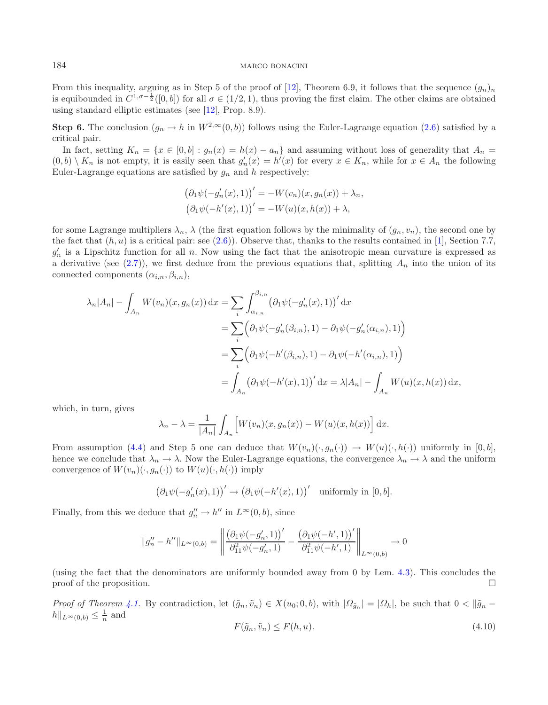From this inequality, arguing as in Step 5 of the proof of [\[12\]](#page-22-3), Theorem 6.9, it follows that the sequence  $(g_n)_n$ is equibounded in  $C^{1,\sigma-\frac{1}{2}}([0,b])$  for all  $\sigma \in (1/2,1)$ , thus proving the first claim. The other claims are obtained using standard elliptic estimates (see [\[12\]](#page-22-3), Prop. 8.9).

**Step 6.** The conclusion  $(g_n \to h$  in  $W^{2,\infty}(0, b)$  follows using the Euler-Lagrange equation [\(2.6\)](#page-4-2) satisfied by a critical pair.

In fact, setting  $K_n = \{x \in [0, b] : g_n(x) = h(x) - a_n\}$  and assuming without loss of generality that  $A_n =$  $(0,b) \setminus K_n$  is not empty, it is easily seen that  $g'_n(x) = h'(x)$  for every  $x \in K_n$ , while for  $x \in A_n$  the following Euler-Lagrange equations are satisfied by  $g_n$  and h respectively:

$$
(\partial_1 \psi(-g'_n(x), 1))' = -W(v_n)(x, g_n(x)) + \lambda_n,
$$
  

$$
(\partial_1 \psi(-h'(x), 1))' = -W(u)(x, h(x)) + \lambda,
$$

for some Lagrange multipliers  $\lambda_n$ ,  $\lambda$  (the first equation follows by the minimality of  $(g_n, v_n)$ , the second one by the fact that  $(h, u)$  is a critical pair: see  $(2.6)$ ). Observe that, thanks to the results contained in [\[1\]](#page-22-6), Section 7.7,  $g'_n$  is a Lipschitz function for all n. Now using the fact that the anisotropic mean curvature is expressed as a derivative (see  $(2.7)$ ), we first deduce from the previous equations that, splitting  $A_n$  into the union of its connected components  $(\alpha_{i,n}, \beta_{i,n}),$ 

$$
\lambda_n |A_n| - \int_{A_n} W(v_n)(x, g_n(x)) dx = \sum_i \int_{\alpha_{i,n}}^{\beta_{i,n}} (\partial_1 \psi(-g'_n(x), 1))' dx
$$
  
=  $\sum_i (\partial_1 \psi(-g'_n(\beta_{i,n}), 1) - \partial_1 \psi(-g'_n(\alpha_{i,n}), 1))$   
=  $\sum_i (\partial_1 \psi(-h'(\beta_{i,n}), 1) - \partial_1 \psi(-h'(\alpha_{i,n}), 1))$   
=  $\int_{A_n} (\partial_1 \psi(-h'(x), 1))' dx = \lambda |A_n| - \int_{A_n} W(u)(x, h(x)) dx,$ 

which, in turn, gives

$$
\lambda_n - \lambda = \frac{1}{|A_n|} \int_{A_n} \left[ W(v_n)(x, g_n(x)) - W(u)(x, h(x)) \right] dx.
$$

<span id="page-17-0"></span>From assumption [\(4.4\)](#page-14-1) and Step 5 one can deduce that  $W(v_n)(\cdot, g_n(\cdot)) \to W(u)(\cdot, h(\cdot))$  uniformly in [0, b], hence we conclude that  $\lambda_n \to \lambda$ . Now the Euler-Lagrange equations, the convergence  $\lambda_n \to \lambda$  and the uniform convergence of  $W(v_n)(\cdot, g_n(\cdot))$  to  $W(u)(\cdot, h(\cdot))$  imply

$$
(\partial_1 \psi(-g'_n(x), 1))' \to (\partial_1 \psi(-h'(x), 1))'
$$
 uniformly in [0, b].

Finally, from this we deduce that  $g''_n \to h''$  in  $L^{\infty}(0, b)$ , since

$$
||g_n'' - h''||_{L^{\infty}(0,b)} = \left\| \frac{(\partial_1 \psi(-g_n', 1))'}{\partial_{11}^2 \psi(-g_n', 1)} - \frac{(\partial_1 \psi(-h', 1))'}{\partial_{11}^2 \psi(-h', 1)} \right\|_{L^{\infty}(0,b)} \to 0
$$

(using the fact that the denominators are uniformly bounded away from 0 by Lem. [4.3\)](#page-12-3). This concludes the proof of the proposition.  $\Box$ 

*Proof of Theorem [4.1.](#page-12-4)* By contradiction, let  $(\tilde{g}_n, \tilde{v}_n) \in X(u_0; 0, b)$ , with  $|\Omega_{\tilde{g}_n}| = |\Omega_h|$ , be such that  $0 < ||\tilde{g}_n - \tilde{g}_n||$  $h||_{L^{\infty}(0,b)} \leq \frac{1}{n}$  and

$$
F(\tilde{g}_n, \tilde{v}_n) \le F(h, u). \tag{4.10}
$$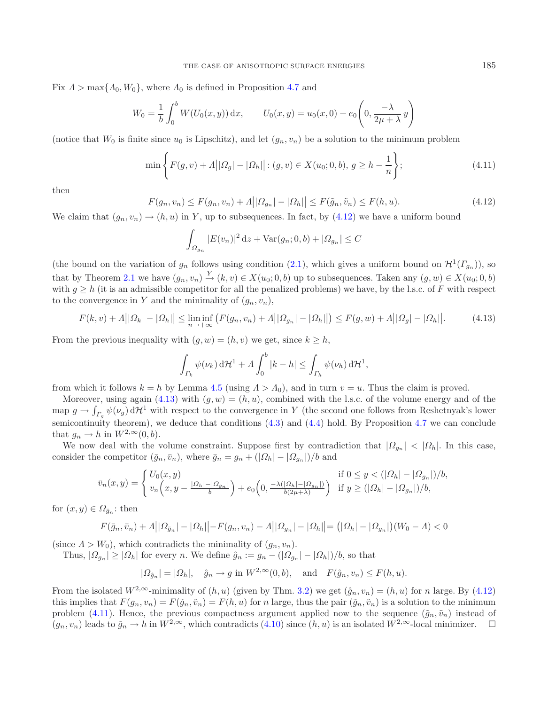<span id="page-18-0"></span>Fix  $\Lambda > \max\{\Lambda_0, W_0\}$ , where  $\Lambda_0$  is defined in Proposition [4.7](#page-14-2) and

<span id="page-18-2"></span>
$$
W_0 = \frac{1}{b} \int_0^b W(U_0(x, y)) dx, \qquad U_0(x, y) = u_0(x, 0) + e_0 \left( 0, \frac{-\lambda}{2\mu + \lambda} y \right)
$$

(notice that  $W_0$  is finite since  $u_0$  is Lipschitz), and let  $(g_n, v_n)$  be a solution to the minimum problem

<span id="page-18-1"></span>
$$
\min\left\{F(g,v)+\Lambda||\Omega_g|-|\Omega_h||:(g,v)\in X(u_0;0,b),\,g\geq h-\frac{1}{n}\right\};\tag{4.11}
$$

then

$$
F(g_n, v_n) \le F(g_n, v_n) + \Lambda \big| |\Omega_{g_n}| - |\Omega_h| \big| \le F(\tilde{g}_n, \tilde{v}_n) \le F(h, u). \tag{4.12}
$$

We claim that  $(q_n, v_n) \to (h, u)$  in Y, up to subsequences. In fact, by  $(4.12)$  we have a uniform bound

$$
\int_{\Omega_{g_n}} |E(v_n)|^2 \, \mathrm{d}z + \text{Var}(g_n; 0, b) + |\Omega_{g_n}| \le C
$$

(the bound on the variation of  $g_n$  follows using condition [\(2.1\)](#page-3-1), which gives a uniform bound on  $\mathcal{H}^1(\Gamma_{g_n})$ ), so that by Theorem [2.1](#page-2-1) we have  $(g_n, v_n) \stackrel{Y}{\rightarrow} (k, v) \in X(u_0; 0, b)$  up to subsequences. Taken any  $(g, w) \in X(u_0; 0, b)$ with  $q > h$  (it is an admissible competitor for all the penalized problems) we have, by the l.s.c. of F with respect to the convergence in Y and the minimality of  $(q_n, v_n)$ ,

$$
F(k, v) + \Lambda \big| |\Omega_k| - |\Omega_h| \big| \le \liminf_{n \to +\infty} \big( F(g_n, v_n) + \Lambda \big| |\Omega_{g_n}| - |\Omega_h| \big| \big) \le F(g, w) + \Lambda \big| |\Omega_g| - |\Omega_h| \big|.
$$
 (4.13)

From the previous inequality with  $(q, w) = (h, v)$  we get, since  $k \geq h$ ,

$$
\int_{\Gamma_k} \psi(\nu_k) \, d\mathcal{H}^1 + \Lambda \int_0^b |k - h| \le \int_{\Gamma_h} \psi(\nu_h) \, d\mathcal{H}^1,
$$

from which it follows  $k = h$  by Lemma [4.5](#page-13-1) (using  $\Lambda > \Lambda_0$ ), and in turn  $v = u$ . Thus the claim is proved.

Moreover, using again [\(4.13\)](#page-18-1) with  $(q, w) = (h, u)$ , combined with the l.s.c. of the volume energy and of the map  $g \to \int_{\Gamma_g} \psi(\nu_g) d\mathcal{H}^1$  with respect to the convergence in Y (the second one follows from Reshetnyak's lower semicontinuity theorem), we deduce that conditions [\(4.3\)](#page-14-3) and [\(4.4\)](#page-14-1) hold. By Proposition [4.7](#page-14-2) we can conclude that  $q_n \to h$  in  $W^{2,\infty}(0, b)$ .

We now deal with the volume constraint. Suppose first by contradiction that  $|Q_{q_n}| < |Q_h|$ . In this case, consider the competitor  $(\bar{g}_n, \bar{v}_n)$ , where  $\bar{g}_n = g_n + (|\Omega_h| - |\Omega_{g_n}|)/b$  and

$$
\bar{v}_n(x,y) = \begin{cases} U_0(x,y) & \text{if } 0 \le y < (|\Omega_h| - |\Omega_{g_n}|)/b, \\ v_n(x,y - \frac{|\Omega_h| - |\Omega_{g_n}|}{b}) + e_0(0, \frac{-\lambda(|\Omega_h| - |\Omega_{g_n}|)}{b(2\mu + \lambda)}) & \text{if } y \ge (|\Omega_h| - |\Omega_{g_n}|)/b, \end{cases}
$$

for  $(x, y) \in \Omega_{\bar{a}_n}$ : then

$$
F(\bar{g}_n, \bar{v}_n) + \Lambda \big| |\Omega_{\bar{g}_n}| - |\Omega_h| \big| - F(g_n, v_n) - \Lambda \big| |\Omega_{g_n}| - |\Omega_h| \big| = (|\Omega_h| - |\Omega_{g_n}|)(W_0 - \Lambda) < 0
$$

(since  $\Lambda > W_0$ ), which contradicts the minimality of  $(q_n, v_n)$ .

Thus,  $|\Omega_{q_n}| \geq |\Omega_h|$  for every n. We define  $\hat{g}_n := g_n - (|\Omega_{q_n}| - |\Omega_h|)/b$ , so that

$$
|\Omega_{\hat{g}_n}| = |\Omega_h|, \quad \hat{g}_n \to g \text{ in } W^{2,\infty}(0,b), \quad \text{and} \quad F(\hat{g}_n, v_n) \le F(h, u).
$$

From the isolated  $W^{2,\infty}$ -minimality of  $(h, u)$  (given by Thm. [3.2\)](#page-8-2) we get  $(\hat{g}_n, v_n)=(h, u)$  for n large. By [\(4.12\)](#page-18-0) this implies that  $F(g_n, v_n) = F(\tilde{g}_n, \tilde{v}_n) = F(h, u)$  for n large, thus the pair  $(\tilde{g}_n, \tilde{v}_n)$  is a solution to the minimum problem [\(4.11\)](#page-18-2). Hence, the previous compactness argument applied now to the sequence  $(\tilde{g}_n, \tilde{v}_n)$  instead of  $(g_n, v_n)$  leads to  $\tilde{g}_n \to h$  in  $W^{2,\infty}$ , which contradicts  $(4.10)$  since  $(h, u)$  is an isolated  $W^{2,\infty}$ -local minimizer.  $\Box$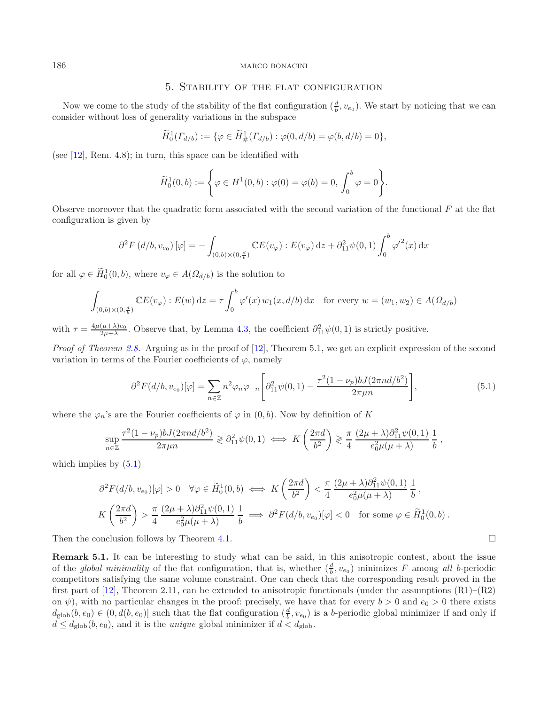### 5. Stability of the flat configuration

Now we come to the study of the stability of the flat configuration  $(\frac{d}{b}, v_{e_0})$ . We start by noticing that we can consider without loss of generality variations in the subspace

$$
\widetilde{H}_0^1(\Gamma_{d/b}) := \{ \varphi \in \widetilde{H}_{\#}^1(\Gamma_{d/b}) : \varphi(0, d/b) = \varphi(b, d/b) = 0 \},
$$

(see [\[12\]](#page-22-3), Rem. 4.8); in turn, this space can be identified with

<span id="page-19-1"></span>
$$
\widetilde{H}_0^1(0,b) := \left\{ \varphi \in H^1(0,b) : \varphi(0) = \varphi(b) = 0, \int_0^b \varphi = 0 \right\}.
$$

Observe moreover that the quadratic form associated with the second variation of the functional  $F$  at the flat configuration is given by

$$
\partial^2 F(d/b, v_{e_0}) [\varphi] = - \int_{(0,b)\times(0,\frac{d}{b})} \mathbb{C} E(v_{\varphi}) : E(v_{\varphi}) dz + \partial_{11}^2 \psi(0,1) \int_0^b {\varphi'}^2(x) dx
$$

for all  $\varphi \in H_0^1(0, b)$ , where  $v_{\varphi} \in A(\Omega_{d/b})$  is the solution to

$$
\int_{(0,b)\times(0,\frac{d}{b})} \mathbb{C}E(v_{\varphi}): E(w) dz = \tau \int_0^b \varphi'(x) w_1(x,d/b) dx \text{ for every } w = (w_1,w_2) \in A(\Omega_{d/b})
$$

with  $\tau = \frac{4\mu(\mu+\lambda)e_0}{2\mu+\lambda}$ . Observe that, by Lemma [4.3,](#page-12-3) the coefficient  $\partial_{11}^2 \psi(0,1)$  is strictly positive.

*Proof of Theorem [2.8.](#page-5-0)* Arguing as in the proof of [\[12\]](#page-22-3), Theorem 5.1, we get an explicit expression of the second variation in terms of the Fourier coefficients of  $\varphi$ , namely

$$
\partial^2 F(d/b, v_{e_0})[\varphi] = \sum_{n \in \mathbb{Z}} n^2 \varphi_n \varphi_{-n} \left[ \partial_{11}^2 \psi(0, 1) - \frac{\tau^2 (1 - \nu_p) b J(2\pi n d/b^2)}{2\pi \mu n} \right],\tag{5.1}
$$

 $\Box$ 

where the  $\varphi_n$ 's are the Fourier coefficients of  $\varphi$  in  $(0, b)$ . Now by definition of K

$$
\sup_{n\in\mathbb{Z}}\frac{\tau^2(1-\nu_p)bJ(2\pi nd/b^2)}{2\pi\mu n}\geq \partial_{11}^2\psi(0,1)\iff K\left(\frac{2\pi d}{b^2}\right)\geqslant \frac{\pi}{4}\frac{(2\mu+\lambda)\partial_{11}^2\psi(0,1)}{e_0^2\mu(\mu+\lambda)}\frac{1}{b},
$$

which implies by  $(5.1)$ 

$$
\partial^2 F(d/b, v_{e_0})[\varphi] > 0 \quad \forall \varphi \in \widetilde{H}_0^1(0, b) \iff K\left(\frac{2\pi d}{b^2}\right) < \frac{\pi}{4} \frac{(2\mu + \lambda)\partial_{11}^2 \psi(0, 1)}{e_0^2 \mu(\mu + \lambda)} \frac{1}{b},
$$
  

$$
K\left(\frac{2\pi d}{b^2}\right) > \frac{\pi}{4} \frac{(2\mu + \lambda)\partial_{11}^2 \psi(0, 1)}{e_0^2 \mu(\mu + \lambda)} \frac{1}{b} \implies \partial^2 F(d/b, v_{e_0})[\varphi] < 0 \quad \text{for some } \varphi \in \widetilde{H}_0^1(0, b).
$$

<span id="page-19-2"></span>Then the conclusion follows by Theorem [4.1.](#page-12-4)

**Remark 5.1.** It can be interesting to study what can be said, in this anisotropic contest, about the issue of the *global minimality* of the flat configuration, that is, whether  $(\frac{d}{b}, v_{e_0})$  minimizes F among all b-periodic competitors satisfying the same volume constraint. One can check that the corresponding result proved in the first part of [\[12\]](#page-22-3), Theorem 2.11, can be extended to anisotropic functionals (under the assumptions  $(R1)$ – $(R2)$ ) on  $\psi$ ), with no particular changes in the proof: precisely, we have that for every  $b > 0$  and  $e_0 > 0$  there exists  $d_{\text{glob}}(b, e_0) \in (0, d(b, e_0)]$  such that the flat configuration  $(\frac{d}{b}, v_{e_0})$  is a b-periodic global minimizer if and only if  $d \leq d_{\text{glob}}(b, e_0)$ , and it is the *unique* global minimizer if  $d < d_{\text{glob}}$ .

<span id="page-19-0"></span>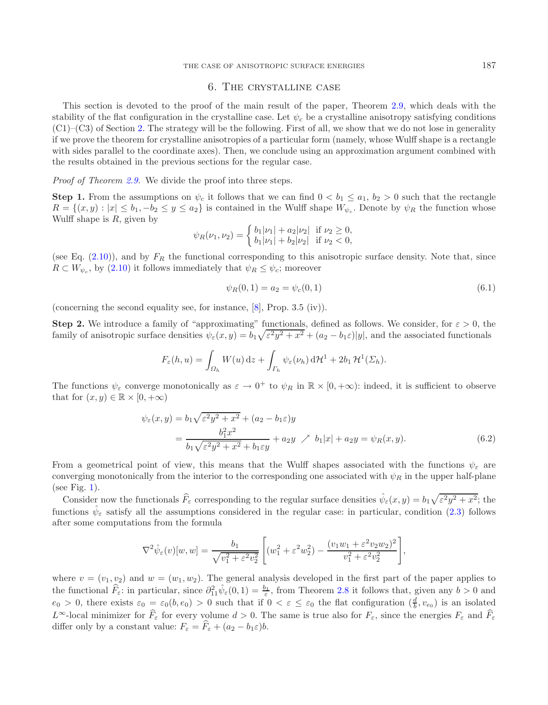### <span id="page-20-1"></span>6. The crystalline case

<span id="page-20-0"></span>This section is devoted to the proof of the main result of the paper, Theorem [2.9,](#page-6-0) which deals with the stability of the flat configuration in the crystalline case. Let  $\psi_c$  be a crystalline anisotropy satisfying conditions  $(C1)$ – $(C3)$  of Section [2.](#page-1-0) The strategy will be the following. First of all, we show that we do not lose in generality if we prove the theorem for crystalline anisotropies of a particular form (namely, whose Wulff shape is a rectangle with sides parallel to the coordinate axes). Then, we conclude using an approximation argument combined with the results obtained in the previous sections for the regular case.

*Proof of Theorem [2.9.](#page-6-0)* We divide the proof into three steps.

**Step 1.** From the assumptions on  $\psi_c$  it follows that we can find  $0 < b_1 \le a_1, b_2 > 0$  such that the rectangle  $R = \{(x, y): |x| \leq b_1, -b_2 \leq y \leq a_2\}$  is contained in the Wulff shape  $W_{\psi_c}$ . Denote by  $\psi_R$  the function whose Wulff shape is  $R$ , given by

$$
\psi_R(\nu_1, \nu_2) = \begin{cases} b_1|\nu_1| + a_2|\nu_2| & \text{if } \nu_2 \ge 0, \\ b_1|\nu_1| + b_2|\nu_2| & \text{if } \nu_2 < 0, \end{cases}
$$

(see Eq.  $(2.10)$ ), and by  $F_R$  the functional corresponding to this anisotropic surface density. Note that, since  $R \subset W_{\psi_c}$ , by [\(2.10\)](#page-5-1) it follows immediately that  $\psi_R \leq \psi_c$ ; moreover

<span id="page-20-2"></span>
$$
\psi_R(0,1) = a_2 = \psi_c(0,1) \tag{6.1}
$$

(concerning the second equality see, for instance,  $[8]$  $[8]$ , Prop. 3.5 (iv)).

**Step 2.** We introduce a family of "approximating" functionals, defined as follows. We consider, for  $\varepsilon > 0$ , the family of anisotropic surface densities  $\psi_{\varepsilon}(x,y) = b_1 \sqrt{\varepsilon^2 y^2 + x^2} + (a_2 - b_1 \varepsilon)|y|$ , and the associated functionals

$$
F_{\varepsilon}(h, u) = \int_{\Omega_h} W(u) \, \mathrm{d}z + \int_{\Gamma_h} \psi_{\varepsilon}(\nu_h) \, \mathrm{d} \mathcal{H}^1 + 2b_1 \, \mathcal{H}^1(\Sigma_h).
$$

The functions  $\psi_{\varepsilon}$  converge monotonically as  $\varepsilon \to 0^+$  to  $\psi_R$  in  $\mathbb{R} \times [0, +\infty)$ : indeed, it is sufficient to observe that for  $(x, y) \in \mathbb{R} \times [0, +\infty)$ 

$$
\psi_{\varepsilon}(x,y) = b_1 \sqrt{\varepsilon^2 y^2 + x^2} + (a_2 - b_1 \varepsilon)y \n= \frac{b_1^2 x^2}{b_1 \sqrt{\varepsilon^2 y^2 + x^2} + b_1 \varepsilon y} + a_2 y \nearrow b_1 |x| + a_2 y = \psi_R(x,y).
$$
\n(6.2)

From a geometrical point of view, this means that the Wulff shapes associated with the functions  $\psi_{\varepsilon}$  are converging monotonically from the interior to the corresponding one associated with  $\psi_R$  in the upper half-plane (see Fig. [1\)](#page-21-0).

Consider now the functionals  $\hat{F}_{\varepsilon}$  corresponding to the regular surface densities  $\hat{\psi}_{\varepsilon}(x, y) = b_1 \sqrt{\varepsilon^2 y^2 + x^2}$ ; the functions  $\psi_{\varepsilon}$  satisfy all the assumptions considered in the regular case: in particular, condition [\(2.3\)](#page-4-0) follows after some computations from the formula

$$
\nabla^2 \hat{\psi}_{\varepsilon}(v)[w,w] = \frac{b_1}{\sqrt{v_1^2 + \varepsilon^2 v_2^2}} \left[ (w_1^2 + \varepsilon^2 w_2^2) - \frac{(v_1 w_1 + \varepsilon^2 v_2 w_2)^2}{v_1^2 + \varepsilon^2 v_2^2} \right],
$$

where  $v = (v_1, v_2)$  and  $w = (w_1, w_2)$ . The general analysis developed in the first part of the paper applies to the functional  $\hat{F}_{\varepsilon}$ : in particular, since  $\partial_{11}^2 \hat{\psi}_{\varepsilon}(0,1) = \frac{b_1}{\varepsilon}$ , from Theorem [2.8](#page-5-0) it follows that, given any  $b > 0$  and  $e_0 > 0$ , there exists  $\varepsilon_0 = \varepsilon_0(b, e_0) > 0$  such that if  $0 < \varepsilon \leq \varepsilon_0$  the flat configuration  $(\frac{d}{b}, v_{e_0})$  is an isolated  $L^{\infty}$ -local minimizer for  $\widehat{F}_{\varepsilon}$  for every volume  $d > 0$ . The same is true also for  $F_{\varepsilon}$ , since the energies  $F_{\varepsilon}$  and  $\widehat{F}_{\varepsilon}$ differ only by a constant value:  $F_{\varepsilon} = F_{\varepsilon} + (a_2 - b_1 \varepsilon)b$ .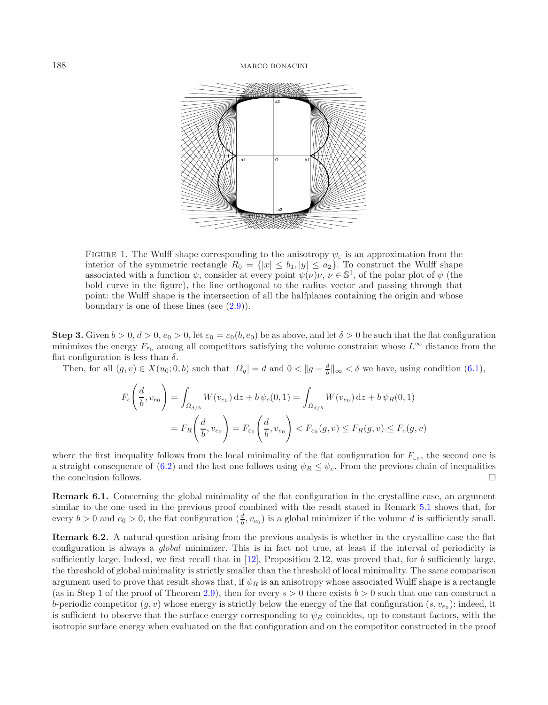<span id="page-21-0"></span>

FIGURE 1. The Wulff shape corresponding to the anisotropy  $\psi_{\varepsilon}$  is an approximation from the interior of the symmetric rectangle  $R_0 = \{|x| \le b_1, |y| \le a_2\}$ . To construct the Wulff shape associated with a function  $\psi$ , consider at every point  $\psi(\nu)\nu, \nu \in \mathbb{S}^1$ , of the polar plot of  $\psi$  (the bold curve in the figure), the line orthogonal to the radius vector and passing through that point: the Wulff shape is the intersection of all the halfplanes containing the origin and whose boundary is one of these lines (see  $(2.9)$ ).

**Step 3.** Given  $b > 0$ ,  $d > 0$ ,  $e_0 > 0$ , let  $\varepsilon_0 = \varepsilon_0(b, e_0)$  be as above, and let  $\delta > 0$  be such that the flat configuration minimizes the energy  $F_{\varepsilon_0}$  among all competitors satisfying the volume constraint whose  $L^{\infty}$  distance from the flat configuration is less than  $\delta$ .

Then, for all  $(g, v) \in X(u_0; 0, b)$  such that  $|\Omega_g| = d$  and  $0 < ||g - \frac{d}{b}||_{\infty} < \delta$  we have, using condition [\(6.1\)](#page-20-1),

$$
F_c\left(\frac{d}{b}, v_{e_0}\right) = \int_{\Omega_{d/b}} W(v_{e_0}) dz + b \psi_c(0, 1) = \int_{\Omega_{d/b}} W(v_{e_0}) dz + b \psi_R(0, 1)
$$
  
=  $F_R\left(\frac{d}{b}, v_{e_0}\right) = F_{\varepsilon_0}\left(\frac{d}{b}, v_{e_0}\right) < F_{\varepsilon_0}(g, v) \le F_R(g, v) \le F_c(g, v)$ 

where the first inequality follows from the local minimality of the flat configuration for  $F_{\epsilon_0}$ , the second one is a straight consequence of [\(6.2\)](#page-20-2) and the last one follows using  $\psi_R \leq \psi_c$ . From the previous chain of inequalities the conclusion follows.  $\Box$ 

**Remark 6.1.** Concerning the global minimality of the flat configuration in the crystalline case, an argument similar to the one used in the previous proof combined with the result stated in Remark [5.1](#page-19-2) shows that, for every  $b > 0$  and  $e_0 > 0$ , the flat configuration  $(\frac{d}{b}, v_{e_0})$  is a global minimizer if the volume d is sufficiently small.

**Remark 6.2.** A natural question arising from the previous analysis is whether in the crystalline case the flat configuration is always a *global* minimizer. This is in fact not true, at least if the interval of periodicity is sufficiently large. Indeed, we first recall that in  $[12]$  $[12]$ , Proposition 2.12, was proved that, for b sufficiently large, the threshold of global minimality is strictly smaller than the threshold of local minimality. The same comparison argument used to prove that result shows that, if  $\psi_R$  is an anisotropy whose associated Wulff shape is a rectangle (as in Step 1 of the proof of Theorem [2.9\)](#page-6-0), then for every  $s > 0$  there exists  $b > 0$  such that one can construct a b-periodic competitor  $(g, v)$  whose energy is strictly below the energy of the flat configuration  $(s, v_{e_0})$ : indeed, it is sufficient to observe that the surface energy corresponding to  $\psi_R$  coincides, up to constant factors, with the isotropic surface energy when evaluated on the flat configuration and on the competitor constructed in the proof

 $\overline{1}$